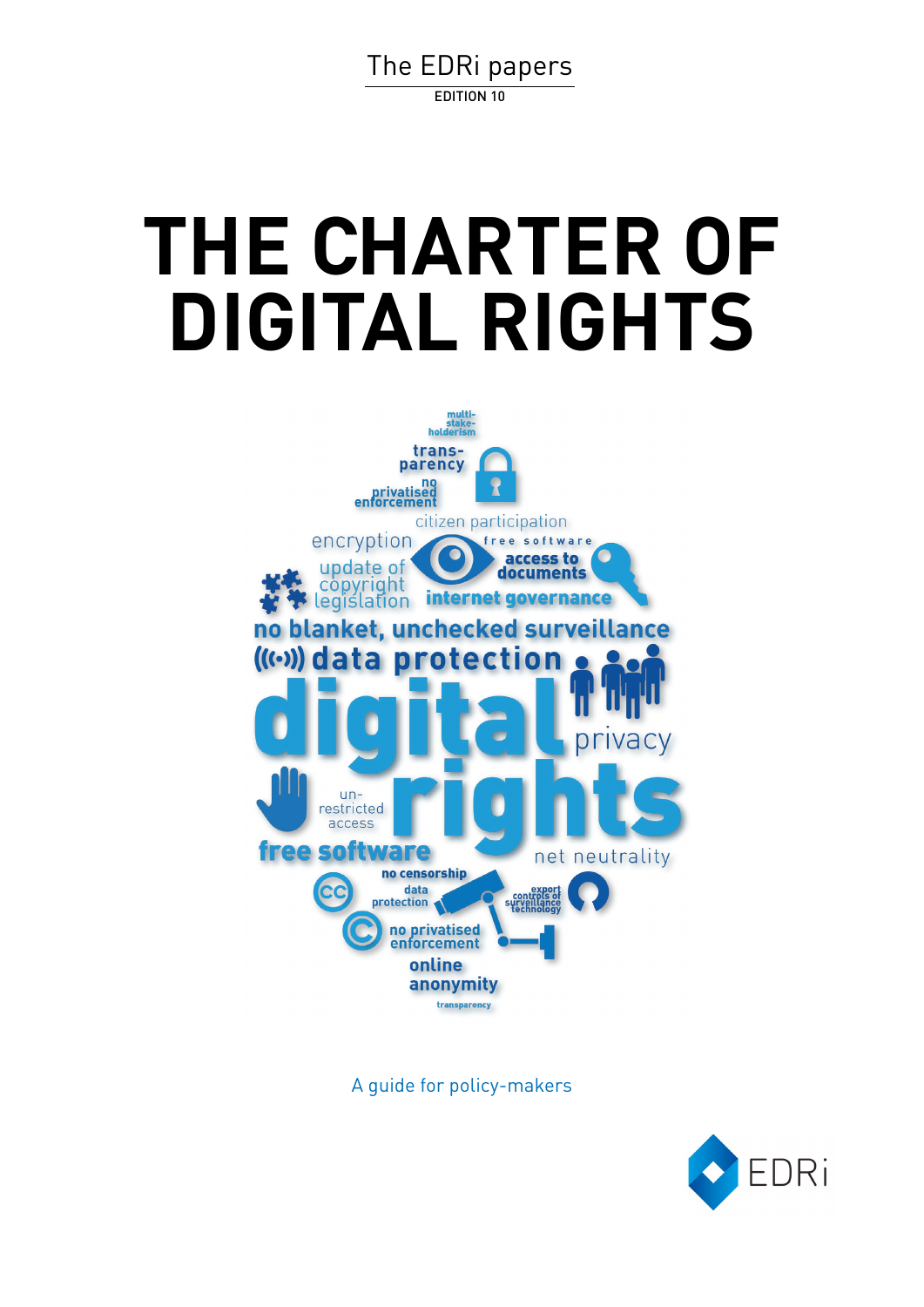[The EDRi papers](http://edri.org/papers/) EDITION 10

# **THE CHARTER OF DIGITAL RIGHTS**



A guide for policy-makers

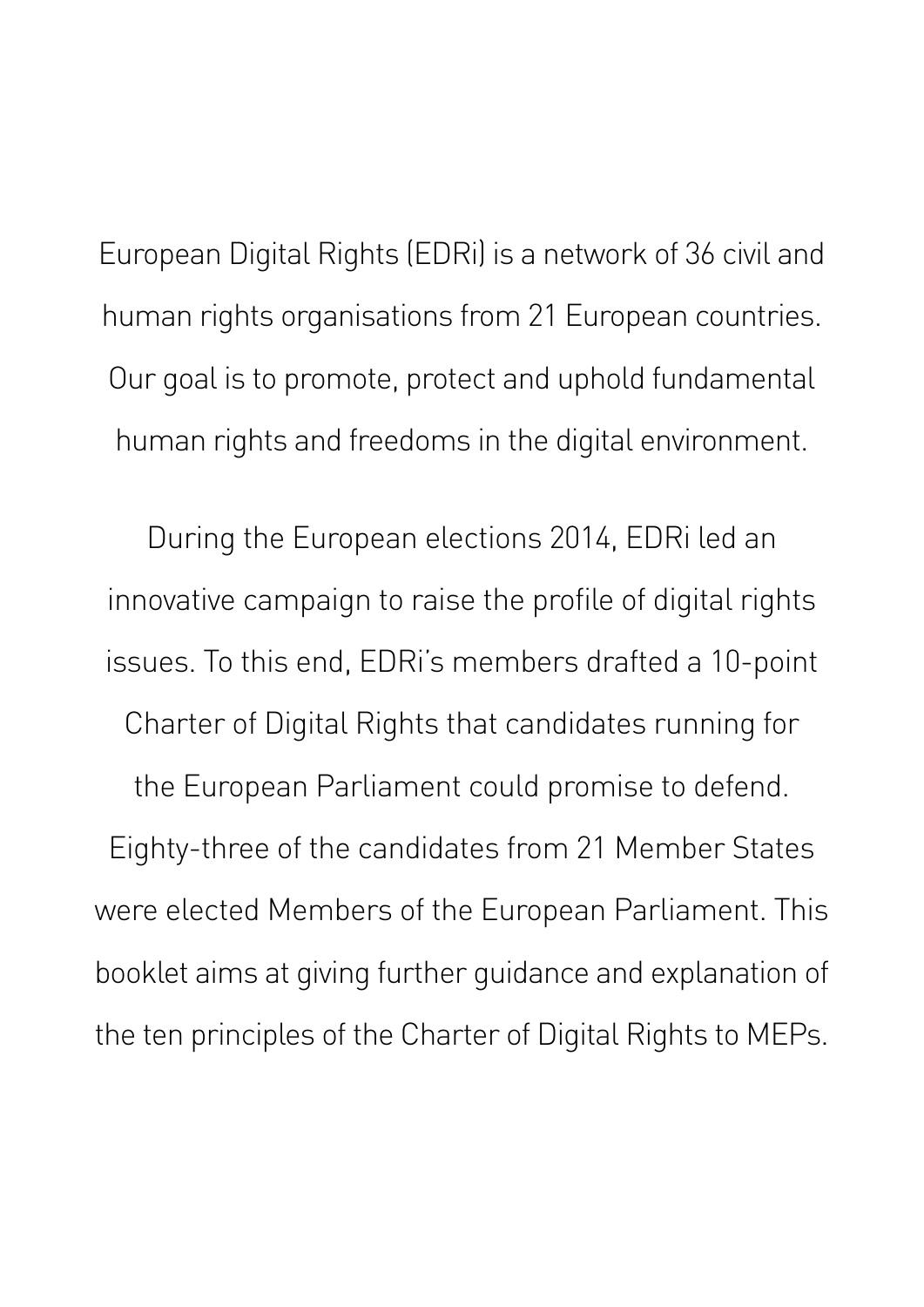European Digital Rights (EDRi) is a network of 36 civil and human rights organisations from 21 European countries. Our goal is to promote, protect and uphold fundamental human rights and freedoms in the digital environment.

During the European elections 2014, EDRi led an innovative campaign to raise the profile of digital rights issues. To this end, EDRi's members drafted a 10-point Charter of Digital Rights that candidates running for the European Parliament could promise to defend. Eighty-three of the candidates from 21 Member States were elected Members of the European Parliament. This booklet aims at giving further guidance and explanation of the ten principles of the Charter of Digital Rights to MEPs.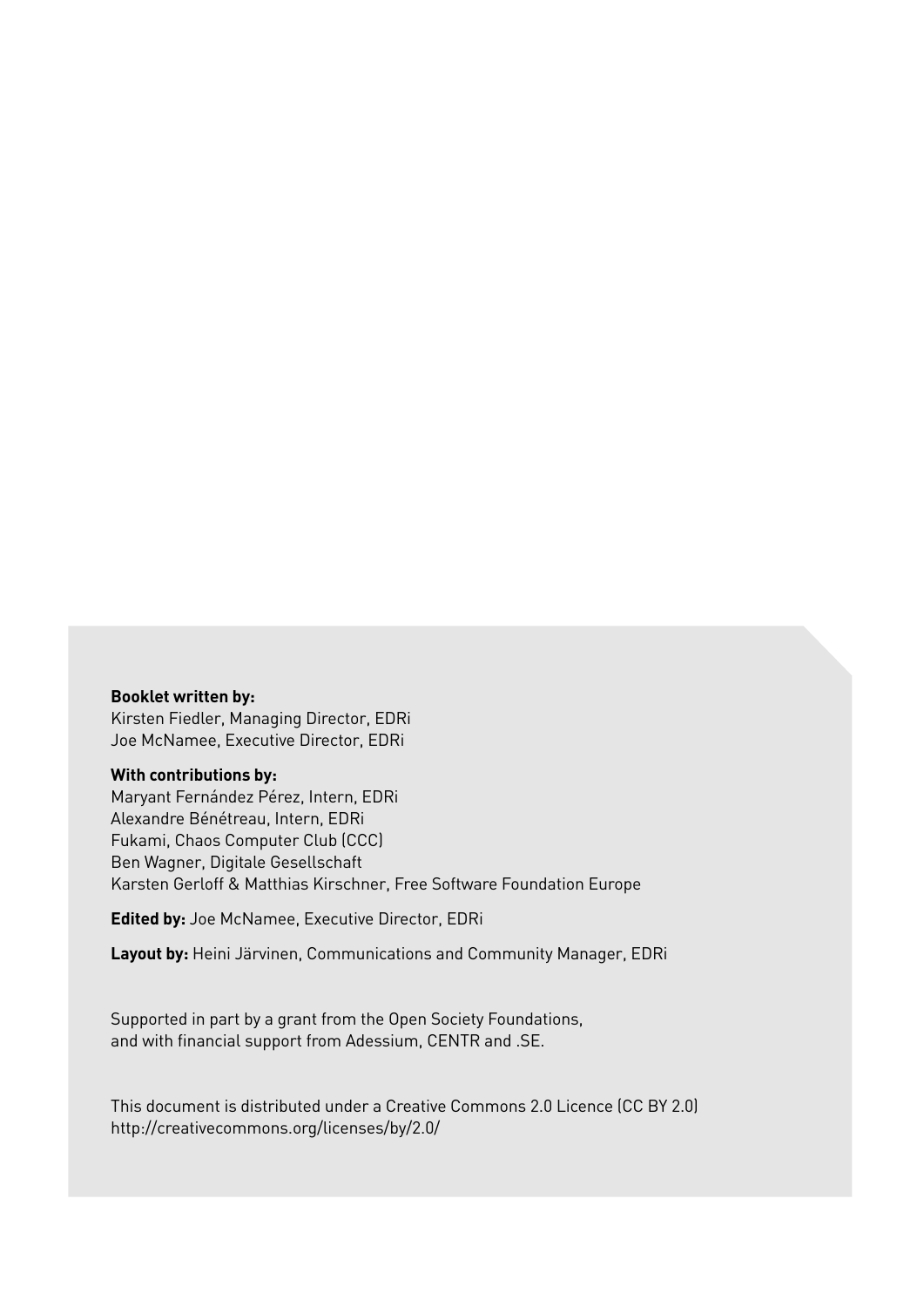#### **Booklet written by:**

Kirsten Fiedler, Managing Director, EDRi Joe McNamee, Executive Director, EDRi

#### **With contributions by:**

Maryant Fernández Pérez, Intern, EDRi Alexandre Bénétreau, Intern, EDRi Fukami, Chaos Computer Club (CCC) Ben Wagner, Digitale Gesellschaft Karsten Gerloff & Matthias Kirschner, Free Software Foundation Europe

**Edited by:** Joe McNamee, Executive Director, EDRi

**Layout by:** Heini Järvinen, Communications and Community Manager, EDRi

Supported in part by a grant from the Open Society Foundations, and with financial support from Adessium, CENTR and .SE.

This document is distributed under a Creative Commons 2.0 Licence (CC BY 2.0) http://creativecommons.org/licenses/by/2.0/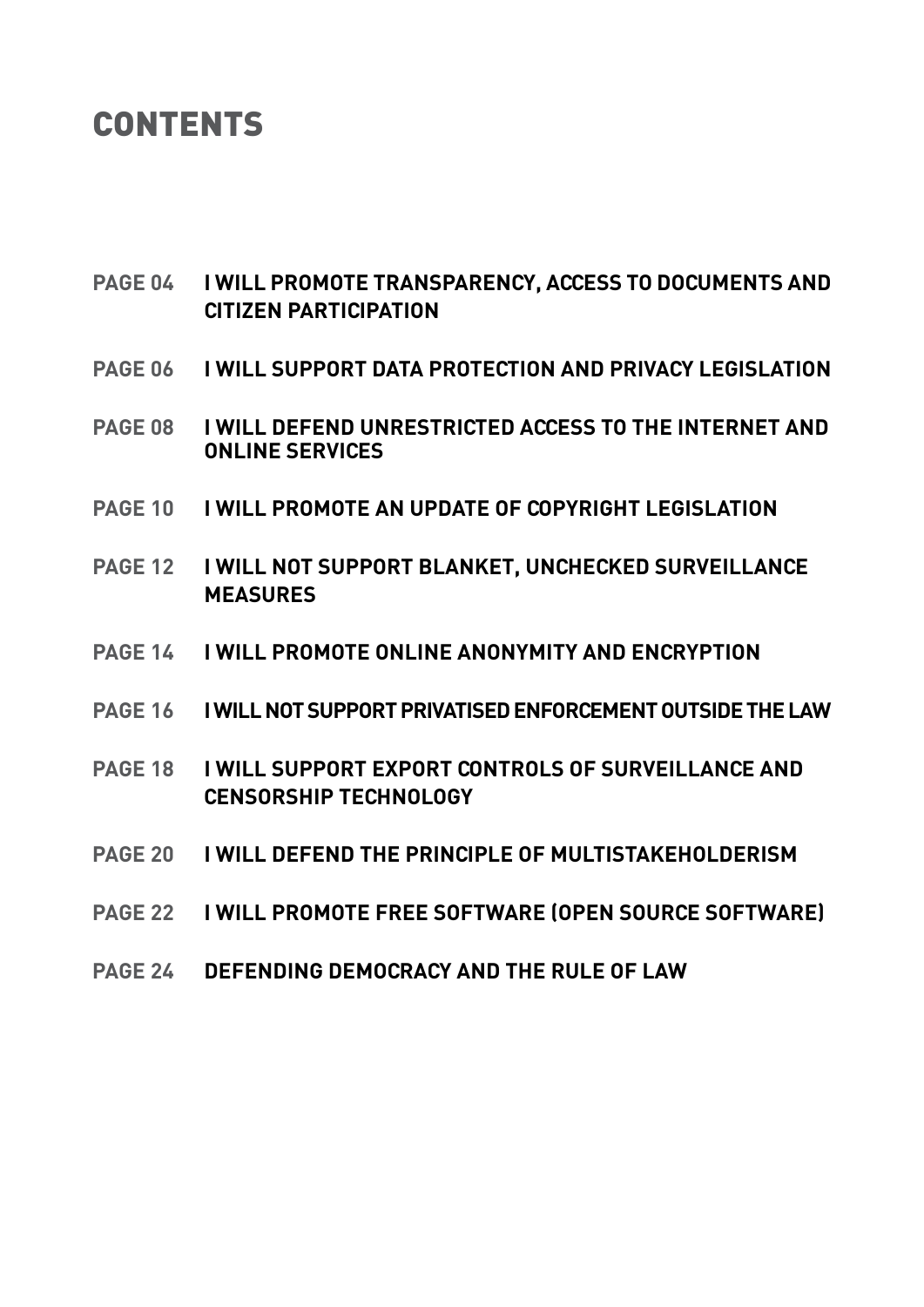### **CONTENTS**

- **page 04 I will promote [transparency, access](#page-5-0) to documents and  [citizen participation](#page-5-0)**
- **PAGE 06 I will support [data protection and privacy legislation](#page-7-0)**
- **[Page 08 I will](#page-9-0) defend unrestricted access to the Internet and  [online Services](#page-9-0)**
- **page 10 [I will promote](#page-11-0) an update of copyright legislation**
- **page 12 I will not support [blanket, unchecked](#page-13-0) surveillance  [measures](#page-13-0)**
- **page 14 I will promote online [anonymity and](#page-15-0) encryption**
- **page 16 [I will notsupport privatisedenforcementoutsidethelaw](#page-17-0)**
- **page 18 I will support export controls of [surveillance](#page-19-0) and  [censorship technology](#page-19-0)**
- **page 20 I will defend the principle [of multistakeholderism](#page-21-0)**
- **page 22 I will promote Free [software \(Open source](#page-23-0) software)**
- **page 24 Defending [democracy and](#page-25-0) the rule of law**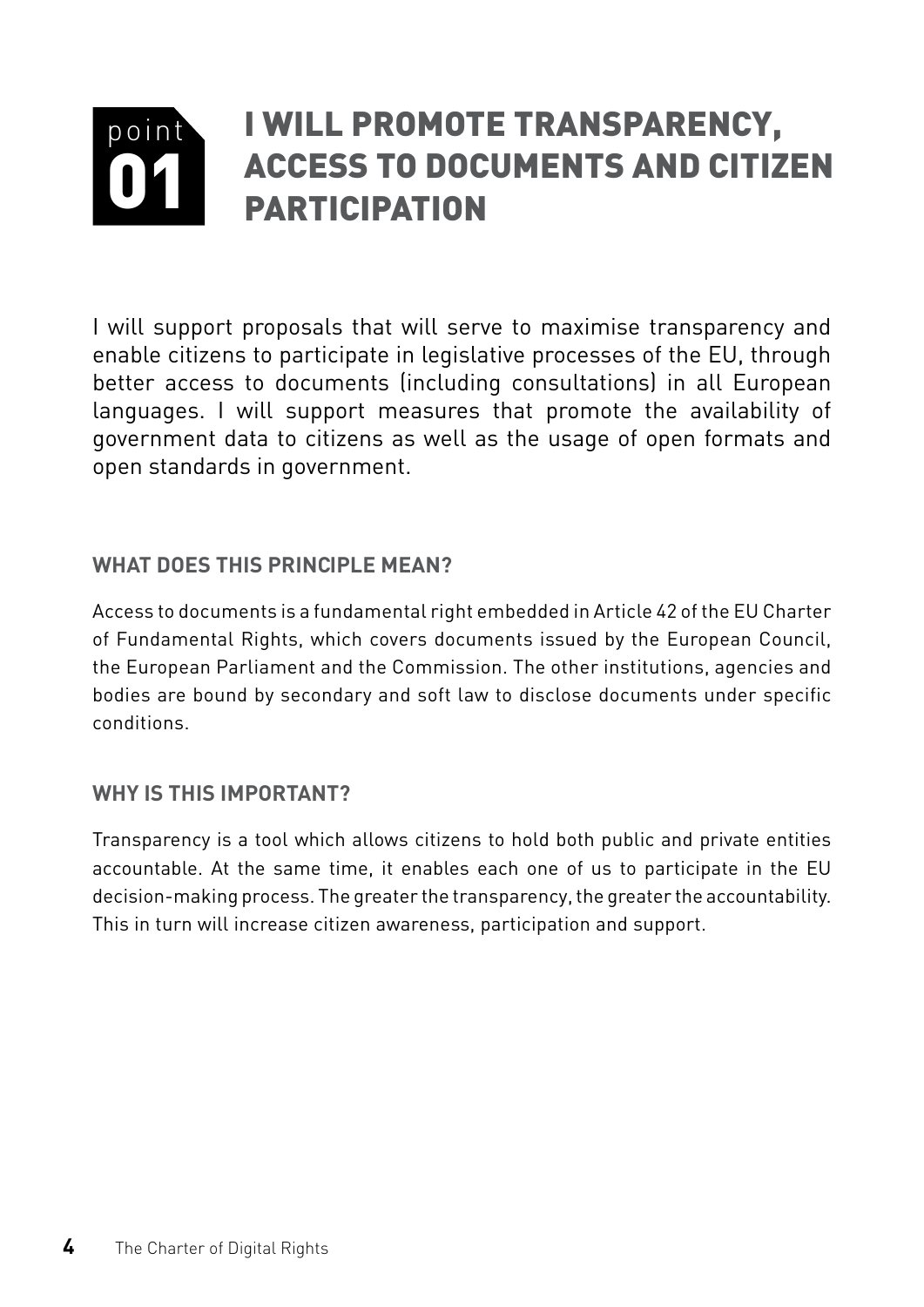#### <span id="page-5-0"></span>point 01 I will promote transparency, access to documents and citizen **PARTICIPATION**

I will support proposals that will serve to maximise transparency and enable citizens to participate in legislative processes of the EU, through better access to documents (including consultations) in all European languages. I will support measures that promote the availability of government data to citizens as well as the usage of open formats and open standards in government.

#### **WHAT DOES THIS PRINCIPLE MEAN?**

Access to documents is a fundamental right embedded in Article 42 of the EU Charter of Fundamental Rights, which covers documents issued by the European Council, the European Parliament and the Commission. The other institutions, agencies and bodies are bound by secondary and soft law to disclose documents under specific conditions.

#### **Why is this important?**

Transparency is a tool which allows citizens to hold both public and private entities accountable. At the same time, it enables each one of us to participate in the EU decision-making process. The greater the transparency, the greater the accountability. This in turn will increase citizen awareness, participation and support.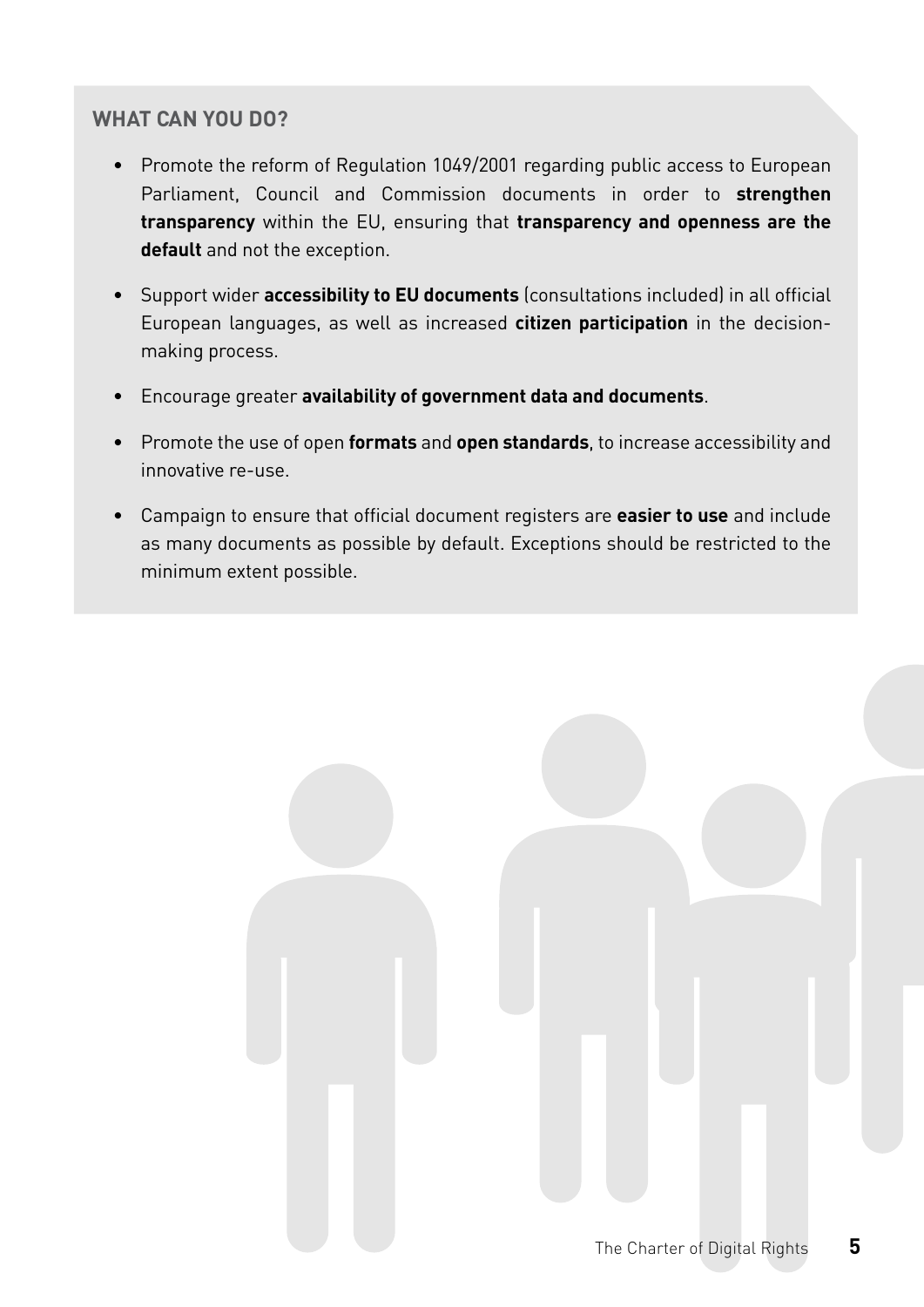- Promote the reform of Regulation 1049/2001 regarding public access to European Parliament, Council and Commission documents in order to **strengthen transparency** within the EU, ensuring that **transparency and openness are the default** and not the exception.
- Support wider **accessibility to EU documents** (consultations included) in all official European languages, as well as increased **citizen participation** in the decisionmaking process.
- Encourage greater **availability of government data and documents**.
- Promote the use of open **formats** and **open standards**, to increase accessibility and innovative re-use.
- Campaign to ensure that official document registers are **easier to use** and include as many documents as possible by default. Exceptions should be restricted to the minimum extent possible.

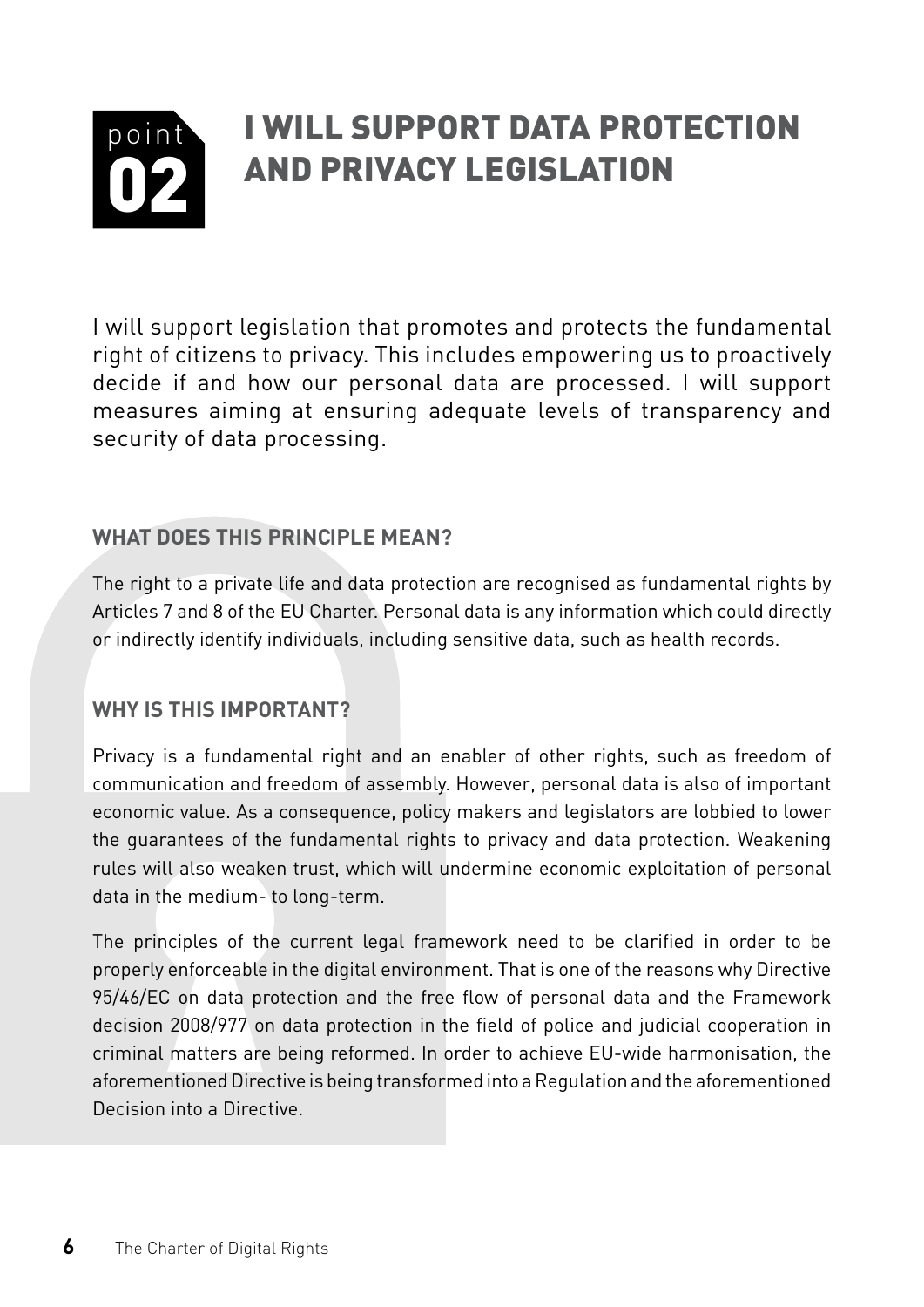#### <span id="page-7-0"></span>point 02 I will support data protection and privacy legislation

I will support legislation that promotes and protects the fundamental right of citizens to privacy. This includes empowering us to proactively decide if and how our personal data are processed. I will support measures aiming at ensuring adequate levels of transparency and security of data processing.

#### **What does this principle mean?**

The right to a private life and data protection are recognised as fundamental rights by Articles 7 and 8 of the EU Charter. Personal data is any information which could directly or indirectly identify individuals, including sensitive data, such as health records.

#### **Why is this important?**

Privacy is a fundamental right and an enabler of other rights, such as freedom of communication and freedom of assembly. However, personal data is also of important economic value. As a consequence, policy makers and legislators are lobbied to lower the guarantees of the fundamental rights to privacy and data protection. Weakening rules will also weaken trust, which will undermine economic exploitation of personal data in the medium- to long-term.

The principles of the current legal framework need to be clarified in order to be properly enforceable in the digital environment. That is one of the reasons why Directive 95/46/EC on data protection and the free flow of personal data and the Framework decision 2008/977 on data protection in the field of police and judicial cooperation in criminal matters are being reformed. In order to achieve EU-wide harmonisation, the aforementioned Directive is being transformed into a Regulation and the aforementioned Decision into a Directive.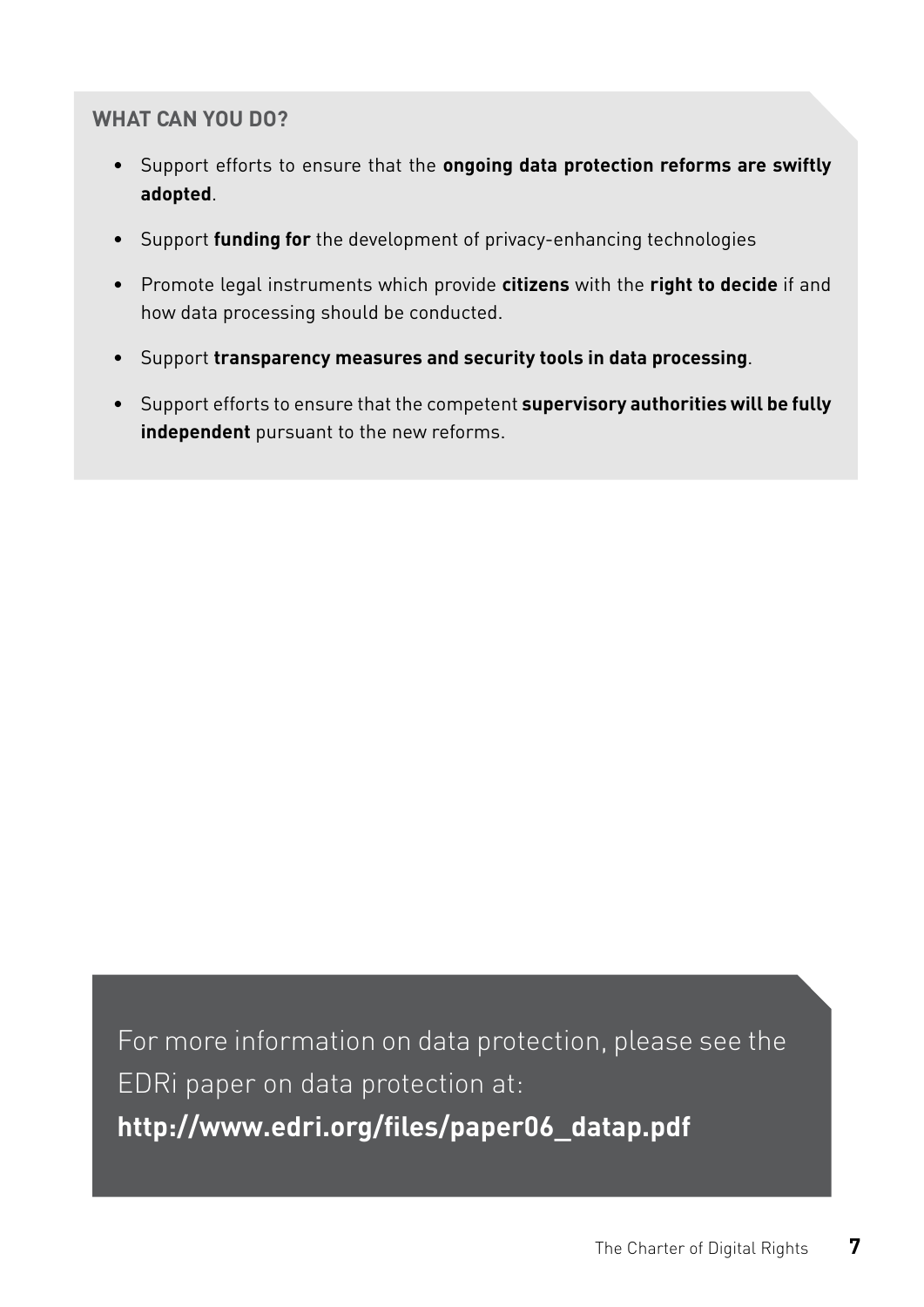- Support efforts to ensure that the **ongoing data protection reforms are swiftly adopted**.
- Support **funding for** the development of privacy-enhancing technologies
- Promote legal instruments which provide **citizens** with the **right to decide** if and how data processing should be conducted.
- Support **transparency measures and security tools in data processing**.
- Support efforts to ensure that the competent **supervisory authorities will be fully independent** pursuant to the new reforms.

For more information on data protection, please see the EDRi paper on data protection at: **[http://www.edri.org/files/paper06\\_datap.pdf](http://www.edri.org/files/paper06_datap.pdf)**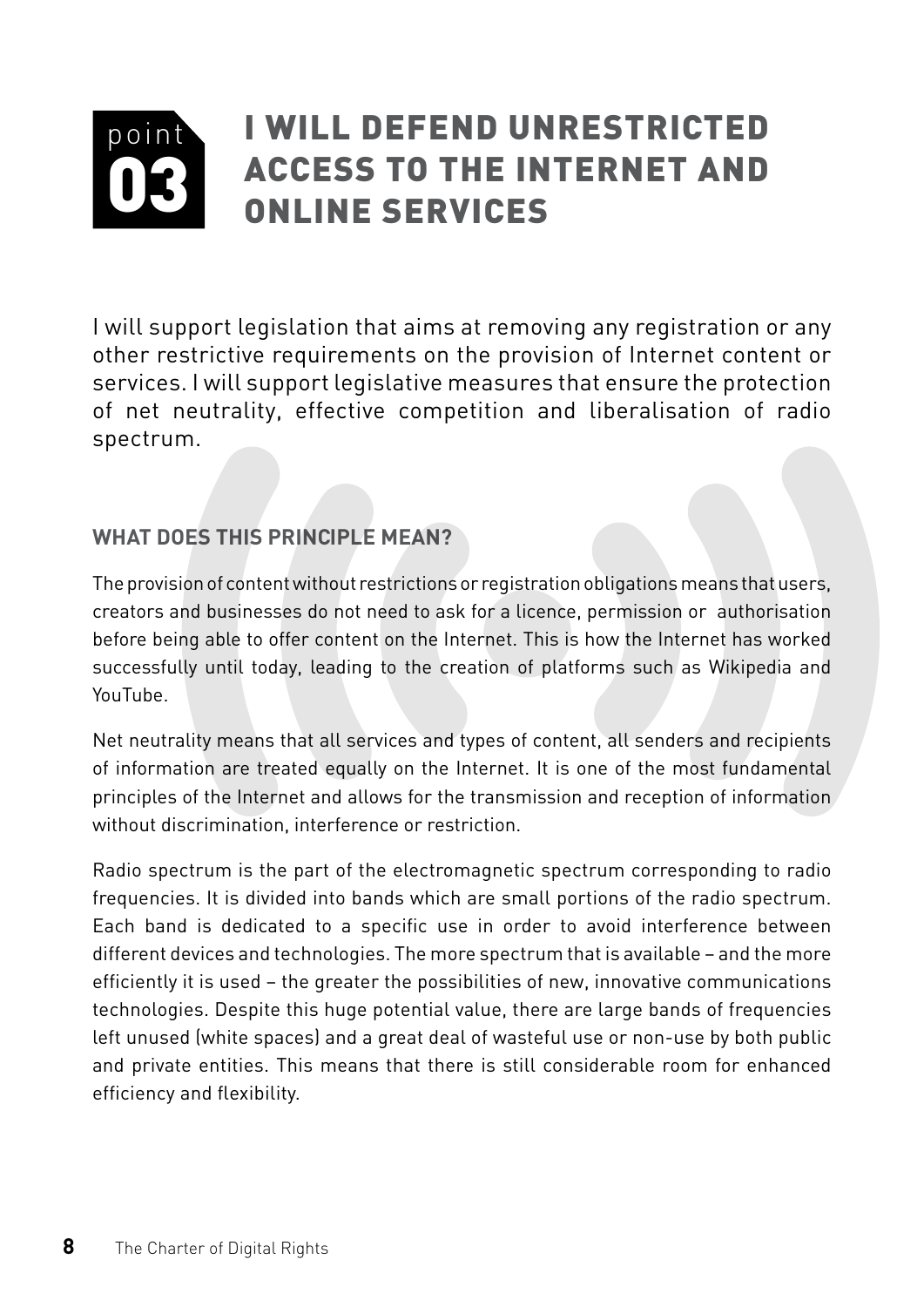#### <span id="page-9-0"></span>point 03 I will defend unrestricted access to the Internet and online Services

I will support legislation that aims at removing any registration or any other restrictive requirements on the provision of Internet content or services. I will support legislative measures that ensure the protection of net neutrality, effective competition and liberalisation of radio spectrum.

#### **What does this principle mean?**

The provision of content without restrictions or registration obligations means that users, creators and businesses do not need to ask for a licence, permission or authorisation before being able to offer content on the Internet. This is how the Internet has worked successfully until today, leading to the creation of platforms such as Wikipedia and YouTube.

Net neutrality means that all services and types of content, all senders and recipients of information are treated equally on the Internet. It is one of the most fundamental principles of the Internet and allows for the transmission and reception of information without discrimination, interference or restriction.

Radio spectrum is the part of the electromagnetic spectrum corresponding to radio frequencies. It is divided into bands which are small portions of the radio spectrum. Each band is dedicated to a specific use in order to avoid interference between different devices and technologies. The more spectrum that is available – and the more efficiently it is used – the greater the possibilities of new, innovative communications technologies. Despite this huge potential value, there are large bands of frequencies left unused (white spaces) and a great deal of wasteful use or non-use by both public and private entities. This means that there is still considerable room for enhanced efficiency and flexibility.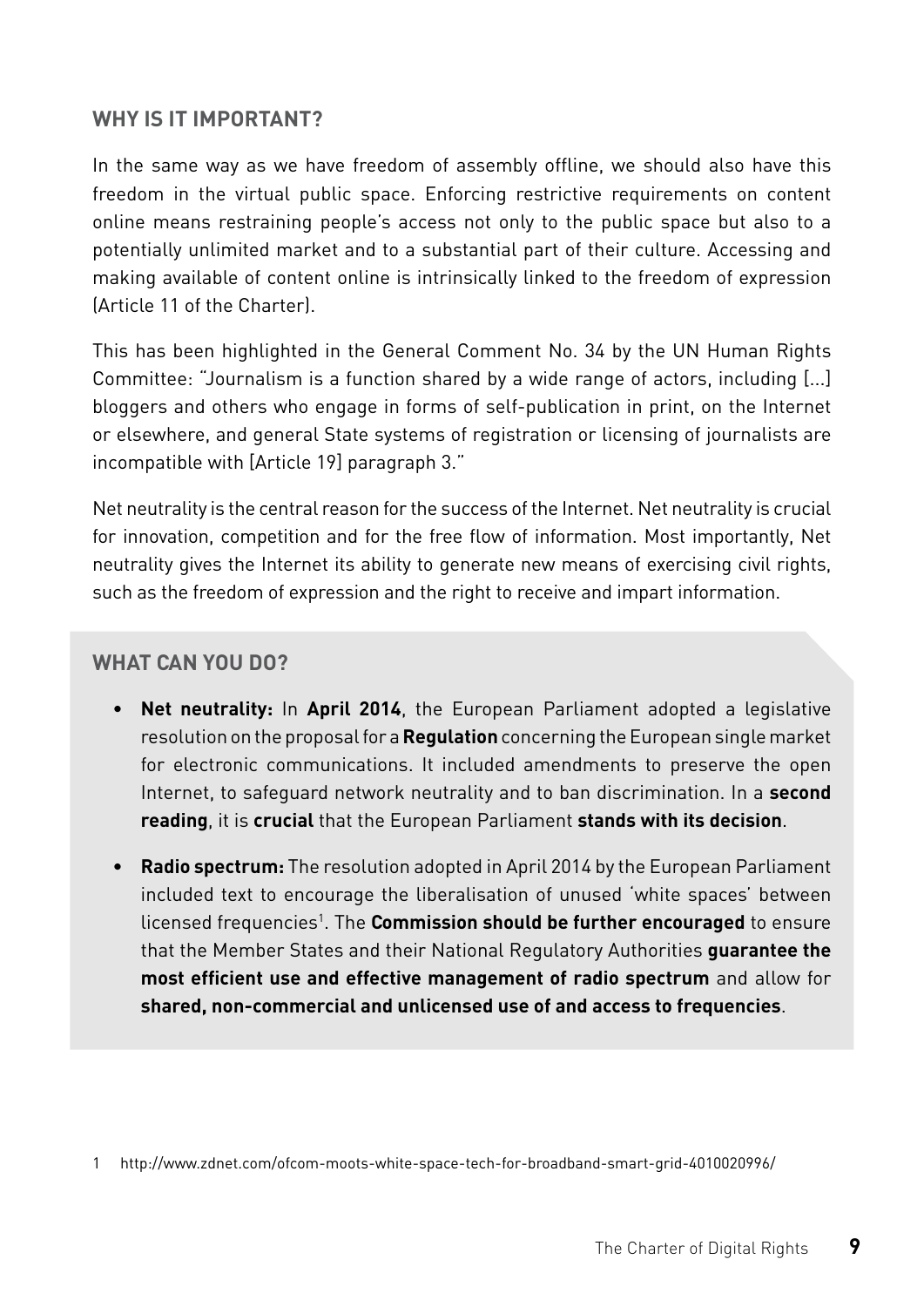#### **Why is it important?**

In the same way as we have freedom of assembly offline, we should also have this freedom in the virtual public space. Enforcing restrictive requirements on content online means restraining people's access not only to the public space but also to a potentially unlimited market and to a substantial part of their culture. Accessing and making available of content online is intrinsically linked to the freedom of expression (Article 11 of the Charter).

This has been highlighted in the General Comment No. 34 by the UN Human Rights Committee: "Journalism is a function shared by a wide range of actors, including [...] bloggers and others who engage in forms of self-publication in print, on the Internet or elsewhere, and general State systems of registration or licensing of journalists are incompatible with [Article 19] paragraph 3."

Net neutrality is the central reason for the success of the Internet. Net neutrality is crucial for innovation, competition and for the free flow of information. Most importantly, Net neutrality gives the Internet its ability to generate new means of exercising civil rights, such as the freedom of expression and the right to receive and impart information.

- **• Net neutrality:** In **April 2014**, the European Parliament adopted a legislative resolution on the proposal for a **Regulation** concerning the European single market for electronic communications. It included amendments to preserve the open Internet, to safeguard network neutrality and to ban discrimination. In a **second reading**, it is **crucial** that the European Parliament **stands with its decision**.
- **• Radio spectrum:** The resolution adopted in April 2014 by the European Parliament included text to encourage the liberalisation of unused 'white spaces' between licensed frequencies<sup>1</sup>. The **Commission should be further encouraged** to ensure that the Member States and their National Regulatory Authorities **guarantee the most efficient use and effective management of radio spectrum** and allow for **shared, non-commercial and unlicensed use of and access to frequencies**.

<sup>1</sup> <http://www.zdnet.com/ofcom-moots-white-space-tech-for-broadband-smart-grid-4010020996/>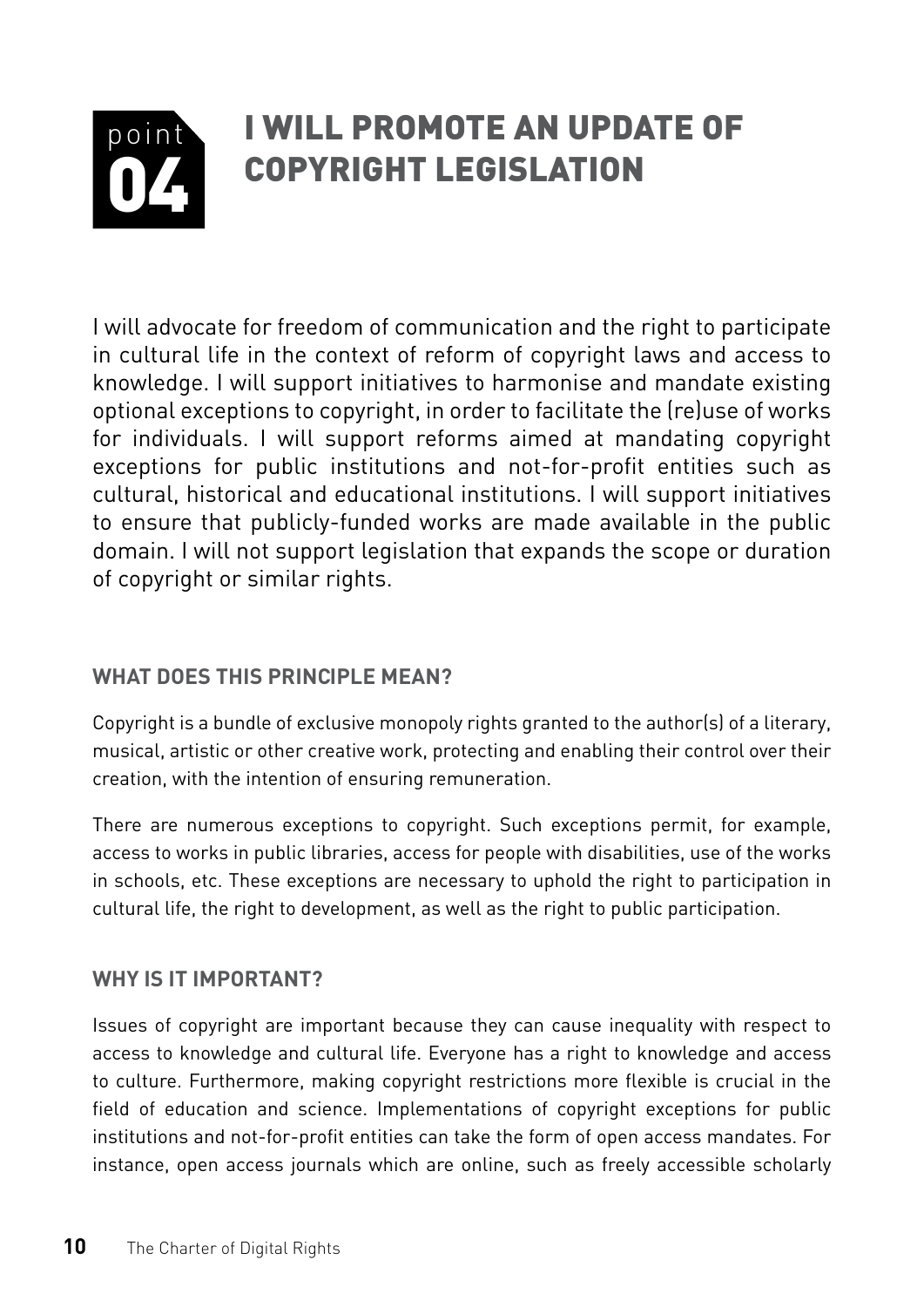#### <span id="page-11-0"></span>point 04 I will promote an update of copyright legislation

I will advocate for freedom of communication and the right to participate in cultural life in the context of reform of copyright laws and access to knowledge. I will support initiatives to harmonise and mandate existing optional exceptions to copyright, in order to facilitate the (re)use of works for individuals. I will support reforms aimed at mandating copyright exceptions for public institutions and not-for-profit entities such as cultural, historical and educational institutions. I will support initiatives to ensure that publicly-funded works are made available in the public domain. I will not support legislation that expands the scope or duration of copyright or similar rights.

#### **What does this principle mean?**

Copyright is a bundle of exclusive monopoly rights granted to the author(s) of a literary, musical, artistic or other creative work, protecting and enabling their control over their creation, with the intention of ensuring remuneration.

There are numerous exceptions to copyright. Such exceptions permit, for example, access to works in public libraries, access for people with disabilities, use of the works in schools, etc. These exceptions are necessary to uphold the right to participation in cultural life, the right to development, as well as the right to public participation.

#### **Why is it important?**

Issues of copyright are important because they can cause inequality with respect to access to knowledge and cultural life. Everyone has a right to knowledge and access to culture. Furthermore, making copyright restrictions more flexible is crucial in the field of education and science. Implementations of copyright exceptions for public institutions and not-for-profit entities can take the form of open access mandates. For instance, open access journals which are online, such as freely accessible scholarly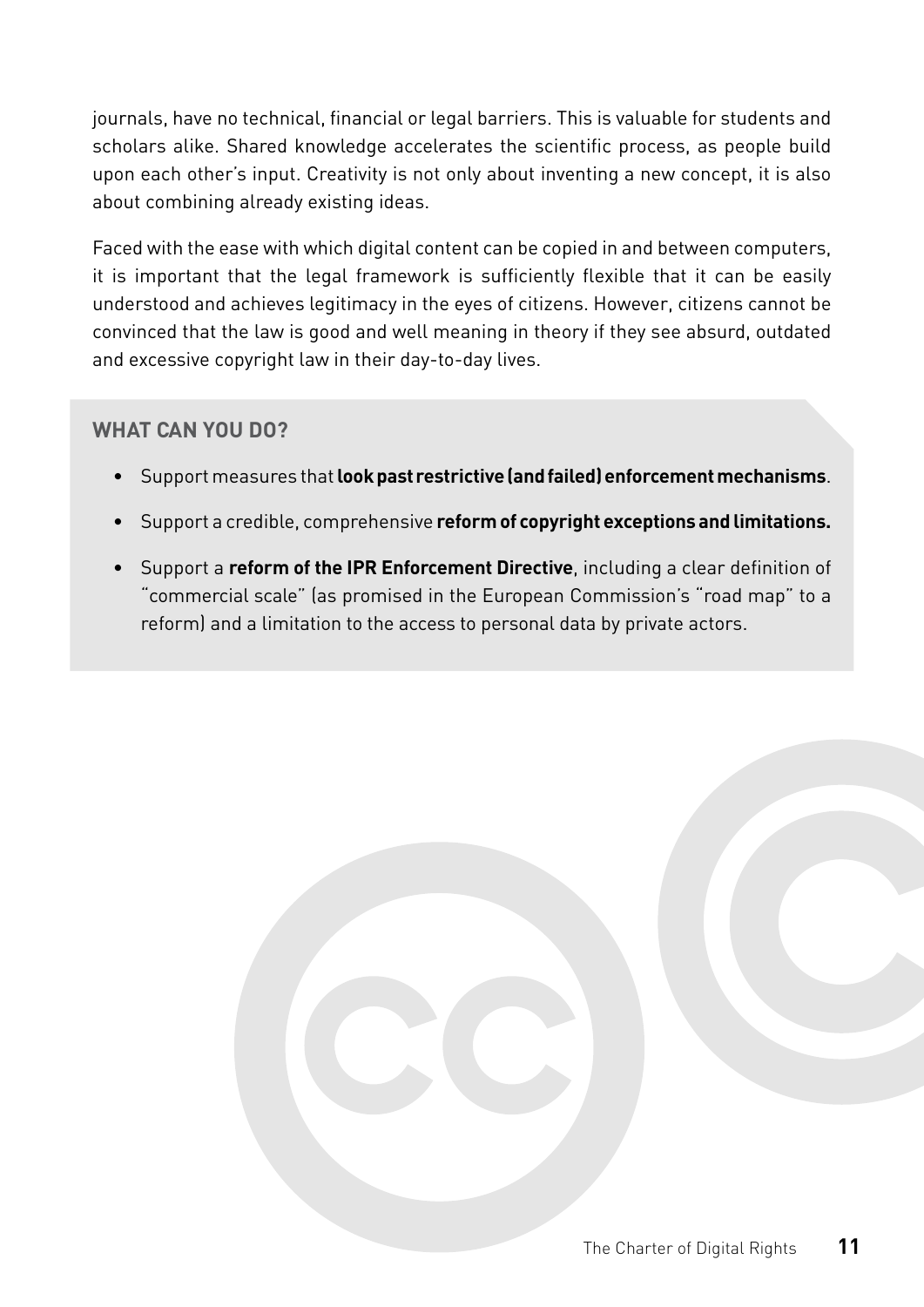journals, have no technical, financial or legal barriers. This is valuable for students and scholars alike. Shared knowledge accelerates the scientific process, as people build upon each other's input. Creativity is not only about inventing a new concept, it is also about combining already existing ideas.

Faced with the ease with which digital content can be copied in and between computers, it is important that the legal framework is sufficiently flexible that it can be easily understood and achieves legitimacy in the eyes of citizens. However, citizens cannot be convinced that the law is good and well meaning in theory if they see absurd, outdated and excessive copyright law in their day-to-day lives.

- Support measures that **look past restrictive (and failed) enforcement mechanisms**.
- Support a credible, comprehensive **reform of copyright exceptions and limitations.**
- Support a **reform of the IPR Enforcement Directive**, including a clear definition of "commercial scale" (as promised in the European Commission's "road map" to a reform) and a limitation to the access to personal data by private actors.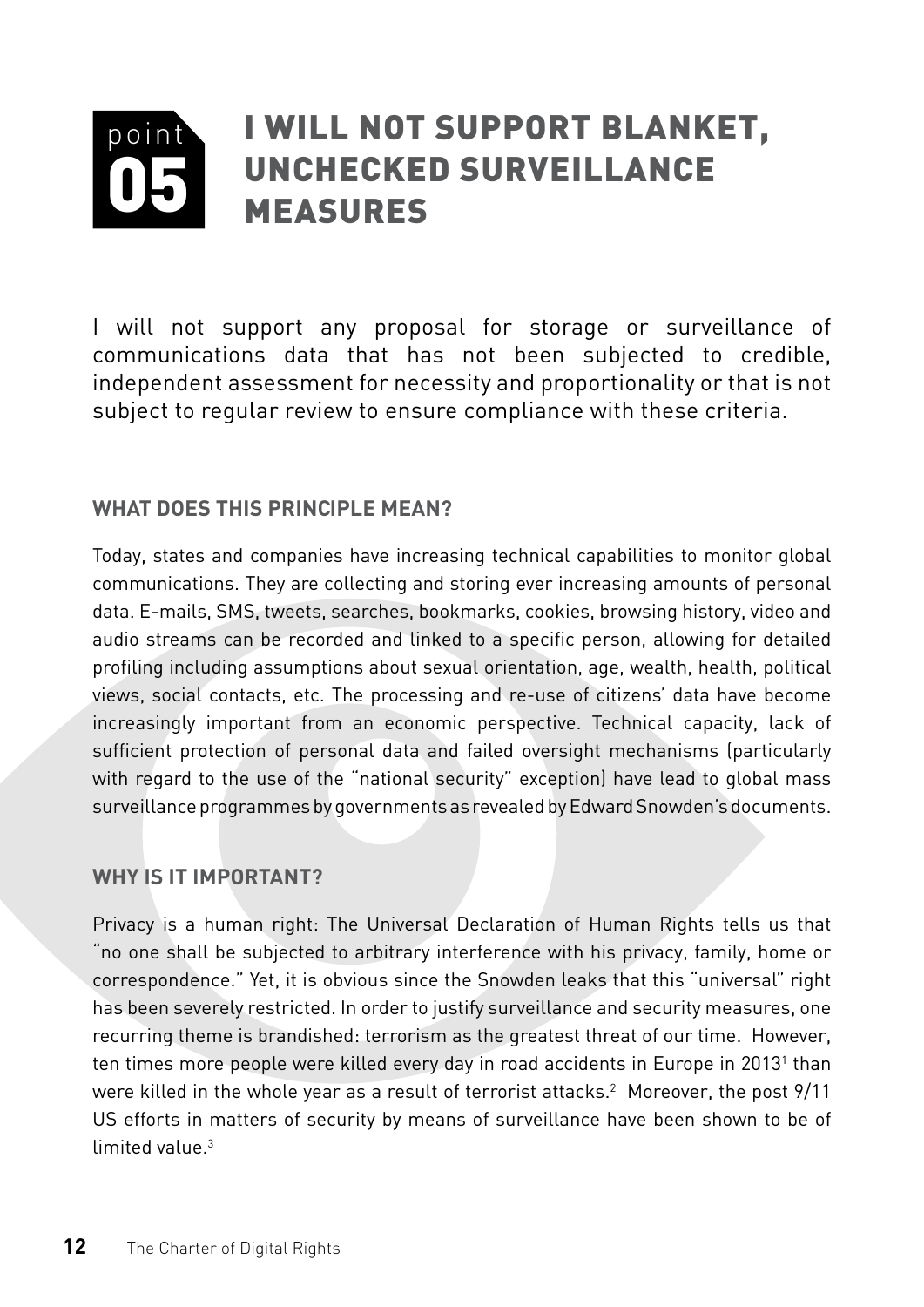#### <span id="page-13-0"></span>point 05 I will not support blanket, unchecked surveillance measures

I will not support any proposal for storage or surveillance of communications data that has not been subjected to credible, independent assessment for necessity and proportionality or that is not subject to regular review to ensure compliance with these criteria.

#### **What does this principle mean?**

Today, states and companies have increasing technical capabilities to monitor global communications. They are collecting and storing ever increasing amounts of personal data. E-mails, SMS, tweets, searches, bookmarks, cookies, browsing history, video and audio streams can be recorded and linked to a specific person, allowing for detailed profiling including assumptions about sexual orientation, age, wealth, health, political views, social contacts, etc. The processing and re-use of citizens' data have become increasingly important from an economic perspective. Technical capacity, lack of sufficient protection of personal data and failed oversight mechanisms (particularly with regard to the use of the "national security" exception) have lead to global mass surveillance programmes by governments as revealed by Edward Snowden's documents.

#### **Why is it important?**

Privacy is a human right: The Universal Declaration of Human Rights tells us that "no one shall be subjected to arbitrary interference with his privacy, family, home or correspondence." Yet, it is obvious since the Snowden leaks that this "universal" right has been severely restricted. In order to justify surveillance and security measures, one recurring theme is brandished: terrorism as the greatest threat of our time. However, ten times more people were killed every day in road accidents in Europe in 2013<sup>1</sup> than were killed in the whole year as a result of terrorist attacks. $^2$  Moreover, the post 9/11 US efforts in matters of security by means of surveillance have been shown to be of limited value.<sup>3</sup>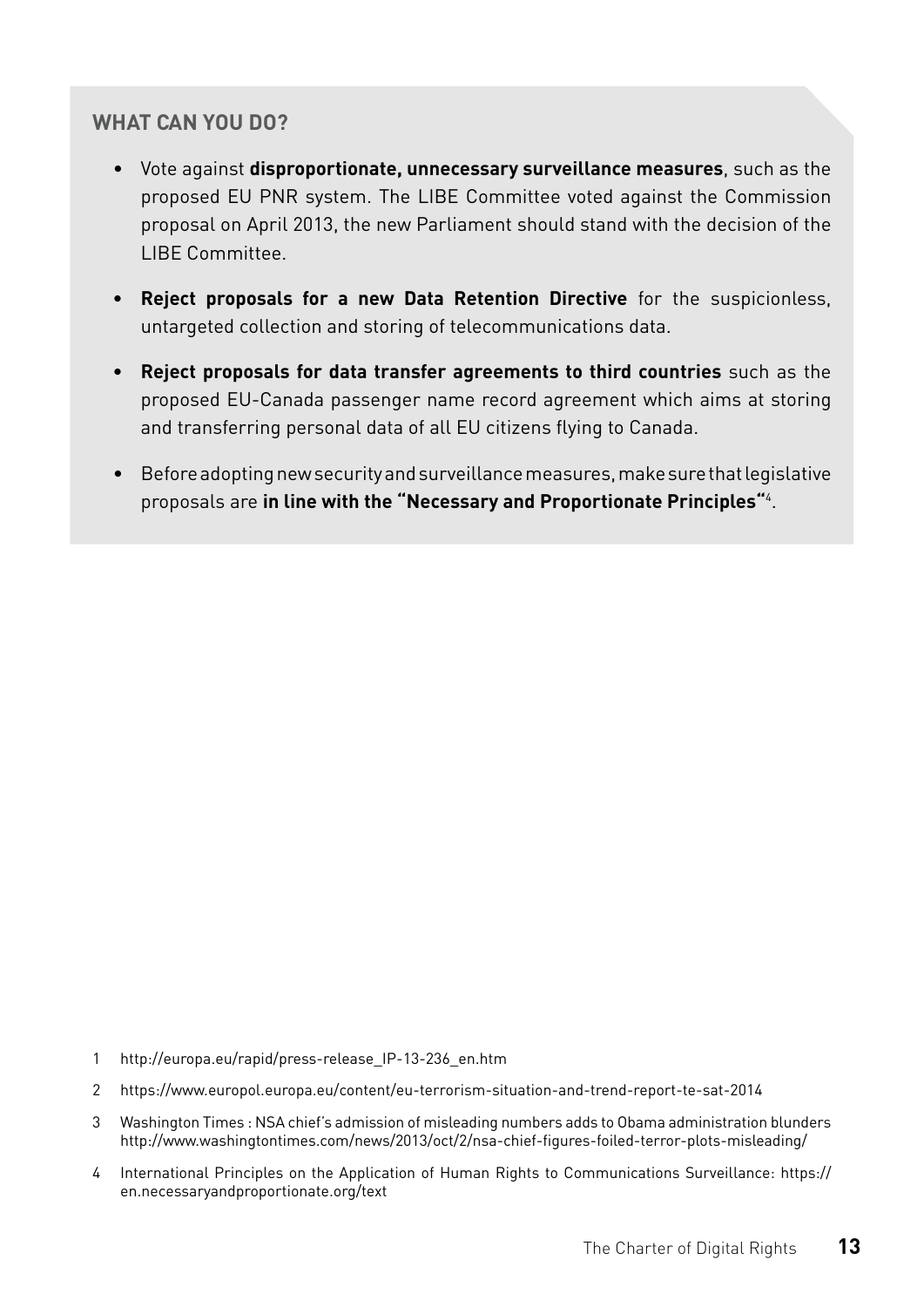- Vote against **disproportionate, unnecessary surveillance measures**, such as the proposed EU PNR system. The LIBE Committee voted against the Commission proposal on April 2013, the new Parliament should stand with the decision of the LIBE Committee.
- **• Reject proposals for a new Data Retention Directive** for the suspicionless, untargeted collection and storing of telecommunications data.
- **• Reject proposals for data transfer agreements to third countries** such as the proposed EU-Canada passenger name record agreement which aims at storing and transferring personal data of all EU citizens flying to Canada.
- Before adopting new security and surveillance measures, make sure that legislative proposals are **in line with the "Necessary and Proportionate Principles"**<sup>4</sup> .

- 1 [http://europa.eu/rapid/press-release\\_IP-13-236\\_en.htm](http://europa.eu/rapid/press-release_IP-13-236_en.htm)
- 2 <https://www.europol.europa.eu/content/eu-terrorism-situation-and-trend-report-te-sat-2014>
- 3 Washington Times : NSA chief's admission of misleading numbers adds to Obama administration blunders [http://www.washingtontimes.com/news/2013/oct/2/nsa-chief-figures-foiled-terror-plots-misleading/](http://www.washingtontimes.com/news/2013/oct/2/nsa-chief-figures-foiled-terror-plots-misleading/%0D)
- 4 International Principles on the Application of Human Rights to Communications Surveillance: [https://](https://en.necessaryandproportionate.org/text) [en.necessaryandproportionate.org/text](https://en.necessaryandproportionate.org/text)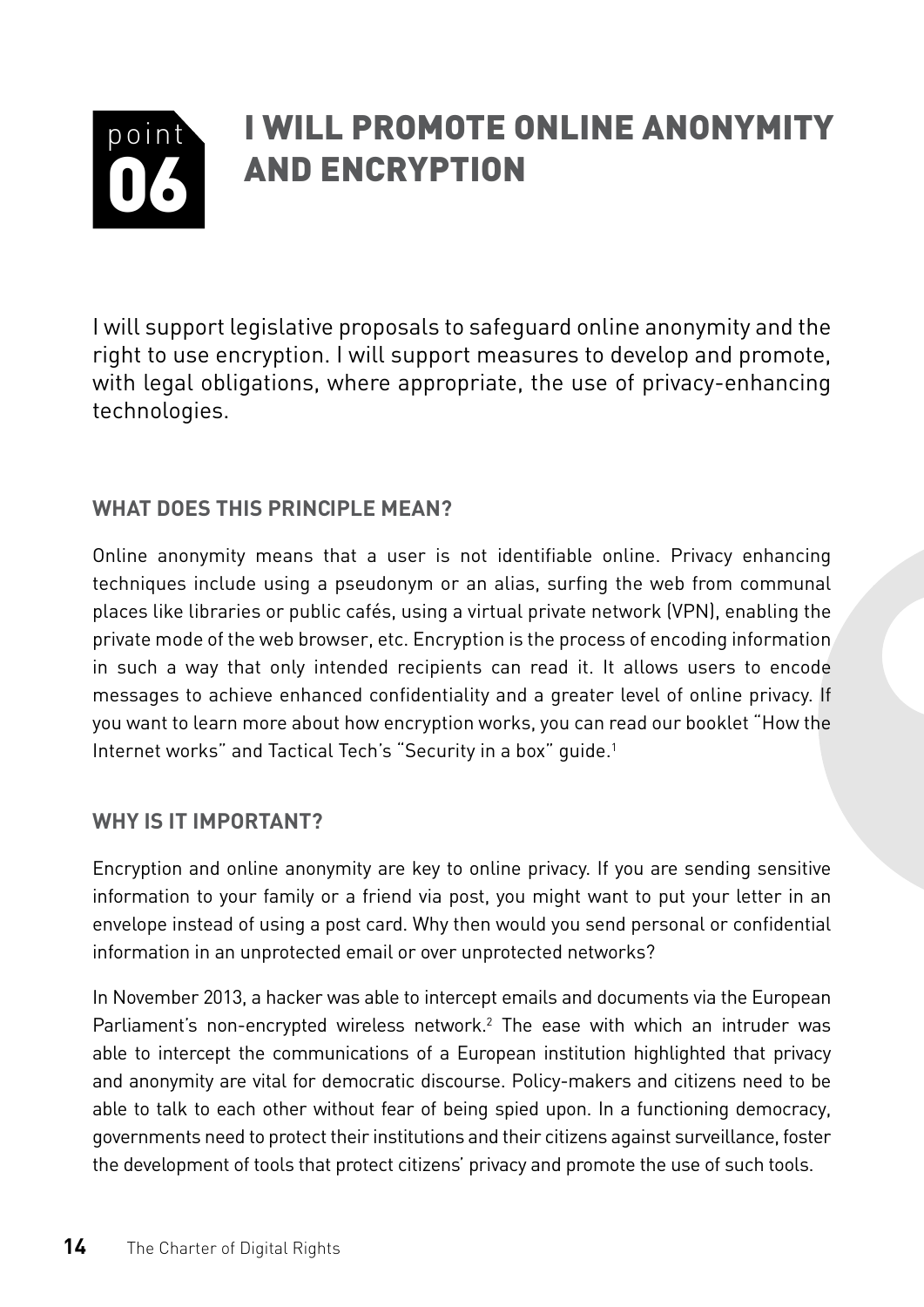#### <span id="page-15-0"></span>point 06 I will promote online anonymity and encryption

I will support legislative proposals to safeguard online anonymity and the right to use encryption. I will support measures to develop and promote, with legal obligations, where appropriate, the use of privacy-enhancing technologies.

#### **What does this principle mean?**

Online anonymity means that a user is not identifiable online. Privacy enhancing techniques include using a pseudonym or an alias, surfing the web from communal places like libraries or public cafés, using a virtual private network (VPN), enabling the private mode of the web browser, etc. Encryption is the process of encoding information in such a way that only intended recipients can read it. It allows users to encode messages to achieve enhanced confidentiality and a greater level of online privacy. If you want to learn more about how encryption works, you can read our booklet "How the Internet works" and Tactical Tech's "Security in a box" quide.<sup>1</sup>

#### **Why is it important?**

Encryption and online anonymity are key to online privacy. If you are sending sensitive information to your family or a friend via post, you might want to put your letter in an envelope instead of using a post card. Why then would you send personal or confidential information in an unprotected email or over unprotected networks?

In November 2013, a hacker was able to intercept emails and documents via the European Parliament's non-encrypted wireless network.<sup>2</sup> The ease with which an intruder was able to intercept the communications of a European institution highlighted that privacy and anonymity are vital for democratic discourse. Policy-makers and citizens need to be able to talk to each other without fear of being spied upon. In a functioning democracy, governments need to protect their institutions and their citizens against surveillance, foster the development of tools that protect citizens' privacy and promote the use of such tools.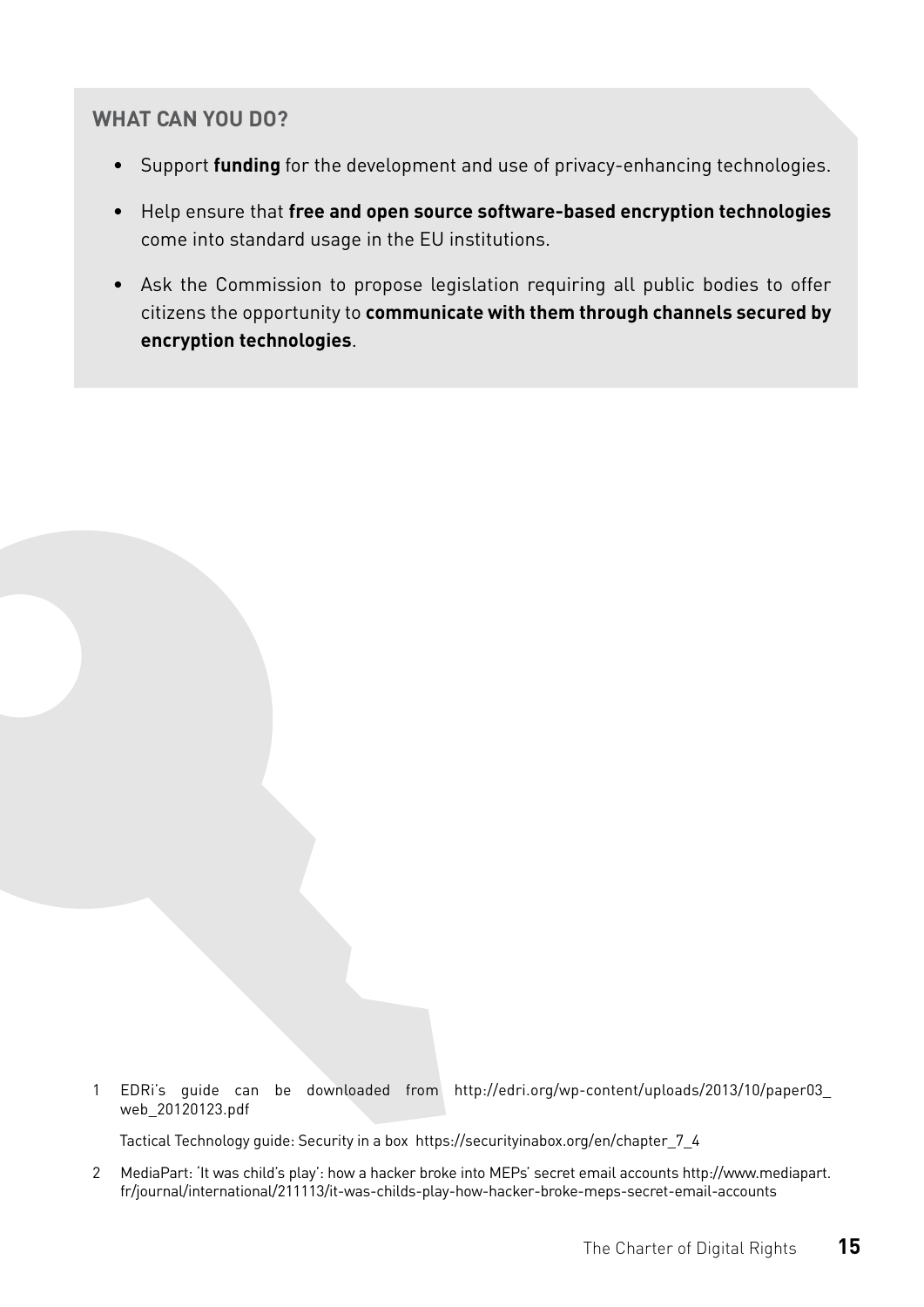- Support **funding** for the development and use of privacy-enhancing technologies.
- Help ensure that **free and open source software-based encryption technologies**  come into standard usage in the EU institutions.
- Ask the Commission to propose legislation requiring all public bodies to offer citizens the opportunity to **communicate with them through channels secured by encryption technologies**.

1 EDRi's guide can be downloaded from [http://edri.org/wp-content/uploads/2013/10/paper03\\_](http://edri.org/wp-content/uploads/2013/10/paper03_web_20120123.pdf%0D) [web\\_20120123.pdf](http://edri.org/wp-content/uploads/2013/10/paper03_web_20120123.pdf%0D)

Tactical Technology guide: Security in a box [https://securityinabox.org/en/chapter\\_7\\_4](https://securityinabox.org/en/chapter_7_4)

2 MediaPart: 'It was child's play': how a hacker broke into MEPs' secret email accounts [http://www.mediapart.](http://www.mediapart.fr/journal/international/211113/it-was-childs-play-how-hacker-broke-meps-secret-email-accounts) [fr/journal/international/211113/it-was-childs-play-how-hacker-broke-meps-secret-email-accounts](http://www.mediapart.fr/journal/international/211113/it-was-childs-play-how-hacker-broke-meps-secret-email-accounts)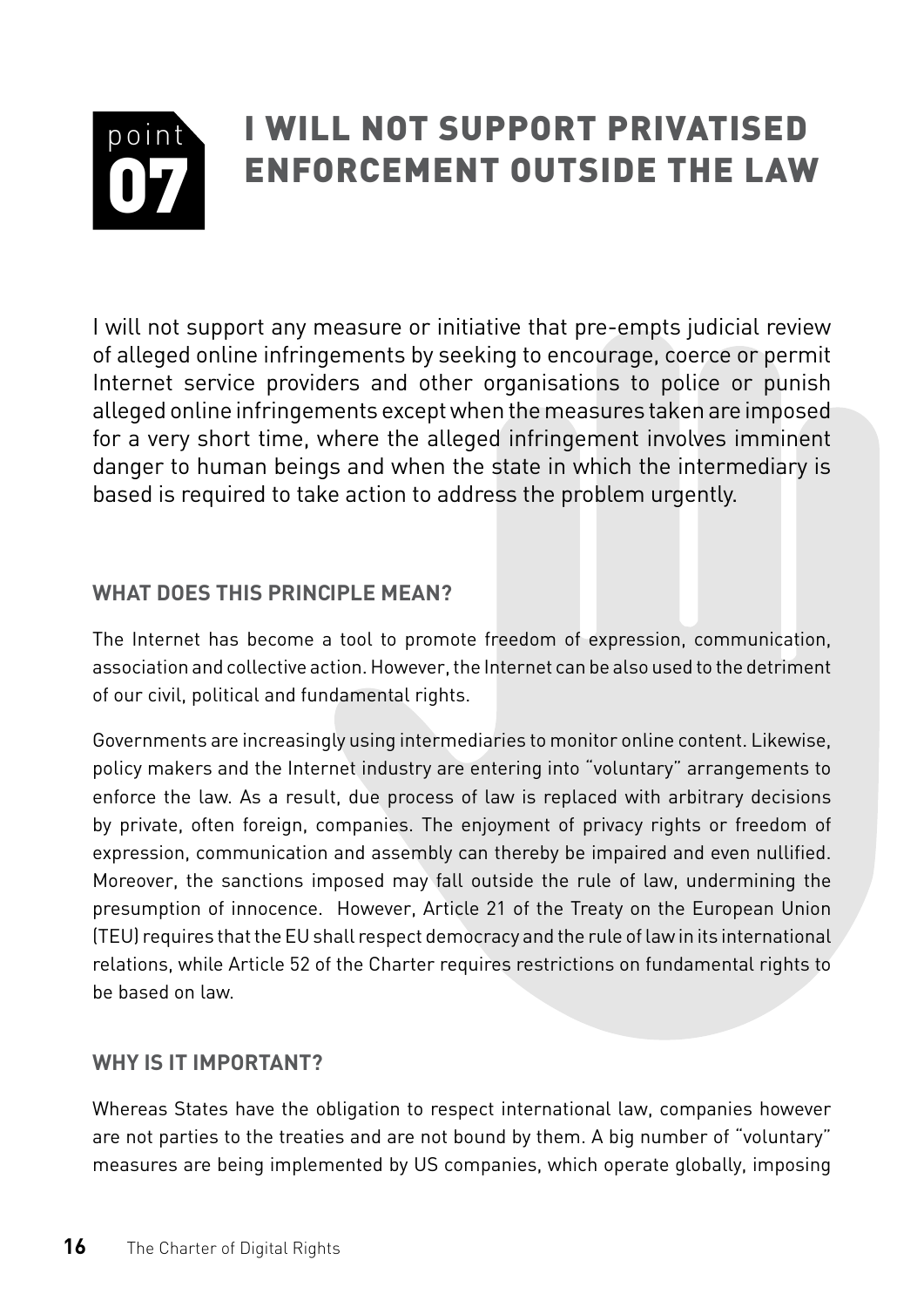#### <span id="page-17-0"></span>point 07 I will not support privatised enforcement outside the law

I will not support any measure or initiative that pre-empts judicial review of alleged online infringements by seeking to encourage, coerce or permit Internet service providers and other organisations to police or punish alleged online infringements except when the measures taken are imposed for a very short time, where the alleged infringement involves imminent danger to human beings and when the state in which the intermediary is based is required to take action to address the problem urgently.

#### **What does this principle mean?**

The Internet has become a tool to promote freedom of expression, communication, association and collective action. However, the Internet can be also used to the detriment of our civil, political and fundamental rights.

Governments are increasingly using intermediaries to monitor online content. Likewise, policy makers and the Internet industry are entering into "voluntary" arrangements to enforce the law. As a result, due process of law is replaced with arbitrary decisions by private, often foreign, companies. The enjoyment of privacy rights or freedom of expression, communication and assembly can thereby be impaired and even nullified. Moreover, the sanctions imposed may fall outside the rule of law, undermining the presumption of innocence. However, Article 21 of the Treaty on the European Union (TEU) requires that the EU shall respect democracy and the rule of law in its international relations, while Article 52 of the Charter requires restrictions on fundamental rights to be based on law.

#### **Why is it important?**

Whereas States have the obligation to respect international law, companies however are not parties to the treaties and are not bound by them. A big number of "voluntary" measures are being implemented by US companies, which operate globally, imposing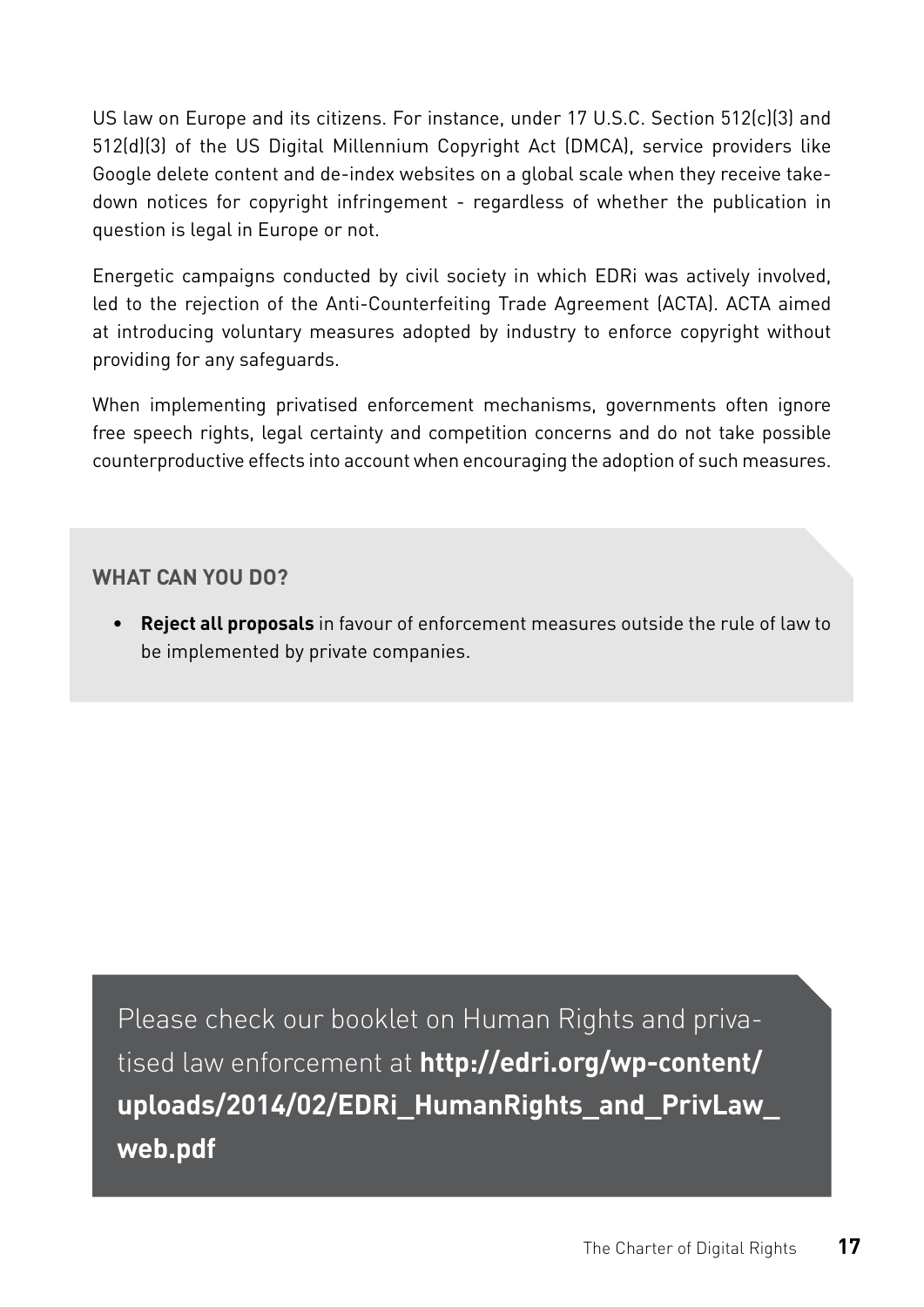US law on Europe and its citizens. For instance, under 17 U.S.C. Section 512(c)(3) and 512(d)(3) of the US Digital Millennium Copyright Act (DMCA), service providers like Google delete content and de-index websites on a global scale when they receive takedown notices for copyright infringement - regardless of whether the publication in question is legal in Europe or not.

Energetic campaigns conducted by civil society in which EDRi was actively involved, led to the rejection of the Anti-Counterfeiting Trade Agreement (ACTA). ACTA aimed at introducing voluntary measures adopted by industry to enforce copyright without providing for any safeguards.

When implementing privatised enforcement mechanisms, governments often ignore free speech rights, legal certainty and competition concerns and do not take possible counterproductive effects into account when encouraging the adoption of such measures.

#### **What can you do?**

**• Reject all proposals** in favour of enforcement measures outside the rule of law to be implemented by private companies.

Please check our booklet on Human Rights and privatised law enforcement at **[http://edri.org/wp-content/](http://edri.org/wp-content/uploads/2014/02/EDRi_HumanRights_and_PrivLaw_web.pdf) [uploads/2014/02/EDRi\\_HumanRights\\_and\\_PrivLaw\\_](http://edri.org/wp-content/uploads/2014/02/EDRi_HumanRights_and_PrivLaw_web.pdf) [web.pdf](http://edri.org/wp-content/uploads/2014/02/EDRi_HumanRights_and_PrivLaw_web.pdf)**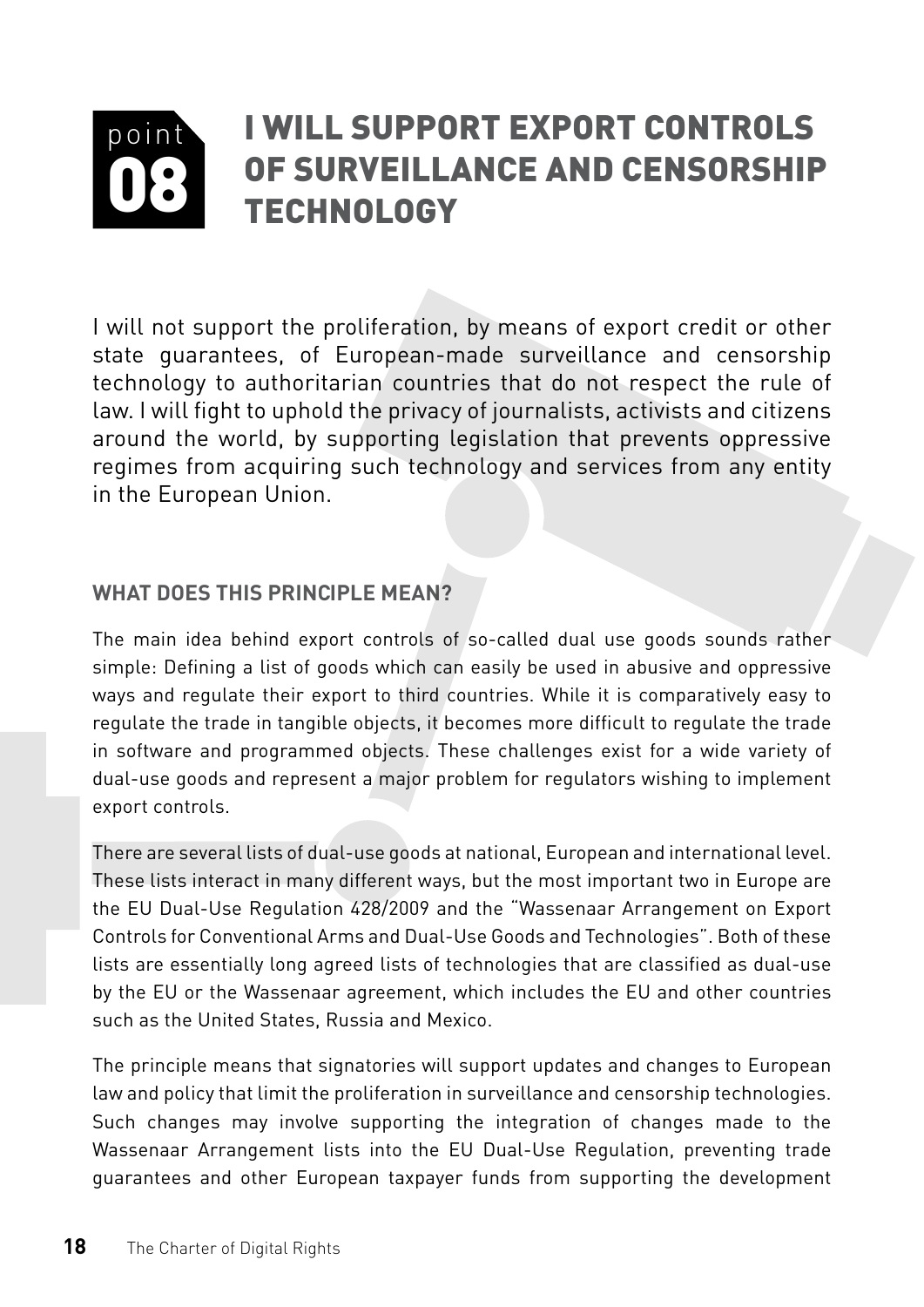#### <span id="page-19-0"></span>point 08 I will support export controls of surveillance and censorship **TECHNOLOGY**

I will not support the proliferation, by means of export credit or other state guarantees, of European-made surveillance and censorship technology to authoritarian countries that do not respect the rule of law. I will fight to uphold the privacy of journalists, activists and citizens around the world, by supporting legislation that prevents oppressive regimes from acquiring such technology and services from any entity in the European Union.

#### **What does this principle mean?**

The main idea behind export controls of so-called dual use goods sounds rather simple: Defining a list of goods which can easily be used in abusive and oppressive ways and regulate their export to third countries. While it is comparatively easy to regulate the trade in tangible objects, it becomes more difficult to regulate the trade in software and programmed objects. These challenges exist for a wide variety of dual-use goods and represent a major problem for regulators wishing to implement export controls.

There are several lists of dual-use goods at national, European and international level. These lists interact in many different ways, but the most important two in Europe are the EU Dual-Use Regulation 428/2009 and the "Wassenaar Arrangement on Export Controls for Conventional Arms and Dual-Use Goods and Technologies". Both of these lists are essentially long agreed lists of technologies that are classified as dual-use by the EU or the Wassenaar agreement, which includes the EU and other countries such as the United States, Russia and Mexico.

The principle means that signatories will support updates and changes to European law and policy that limit the proliferation in surveillance and censorship technologies. Such changes may involve supporting the integration of changes made to the Wassenaar Arrangement lists into the EU Dual-Use Regulation, preventing trade guarantees and other European taxpayer funds from supporting the development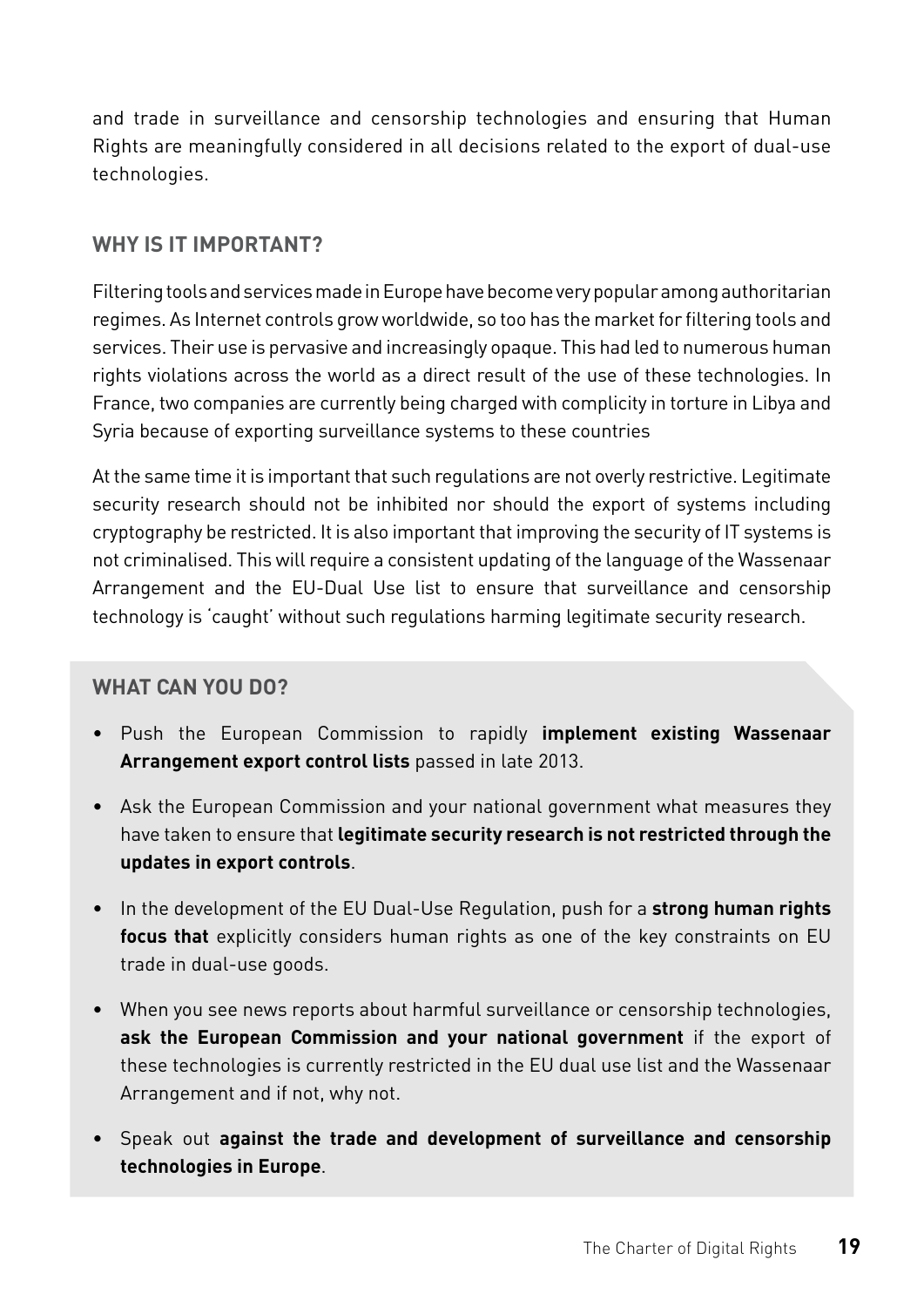and trade in surveillance and censorship technologies and ensuring that Human Rights are meaningfully considered in all decisions related to the export of dual-use technologies.

#### **Why is it important?**

Filtering tools and services made in Europe have become very popular among authoritarian regimes. As Internet controls grow worldwide, so too has the market for filtering tools and services. Their use is pervasive and increasingly opaque. This had led to numerous human rights violations across the world as a direct result of the use of these technologies. In France, two companies are currently being charged with complicity in torture in Libya and Syria because of exporting surveillance systems to these countries

At the same time it is important that such regulations are not overly restrictive. Legitimate security research should not be inhibited nor should the export of systems including cryptography be restricted. It is also important that improving the security of IT systems is not criminalised. This will require a consistent updating of the language of the Wassenaar Arrangement and the EU-Dual Use list to ensure that surveillance and censorship technology is 'caught' without such regulations harming legitimate security research.

- Push the European Commission to rapidly **implement existing Wassenaar Arrangement export control lists** passed in late 2013.
- Ask the European Commission and your national government what measures they have taken to ensure that **legitimate security research is not restricted through the updates in export controls**.
- In the development of the EU Dual-Use Regulation, push for a **strong human rights focus that** explicitly considers human rights as one of the key constraints on EU trade in dual-use goods.
- When you see news reports about harmful surveillance or censorship technologies, **ask the European Commission and your national government** if the export of these technologies is currently restricted in the EU dual use list and the Wassenaar Arrangement and if not, why not.
- Speak out **against the trade and development of surveillance and censorship technologies in Europe**.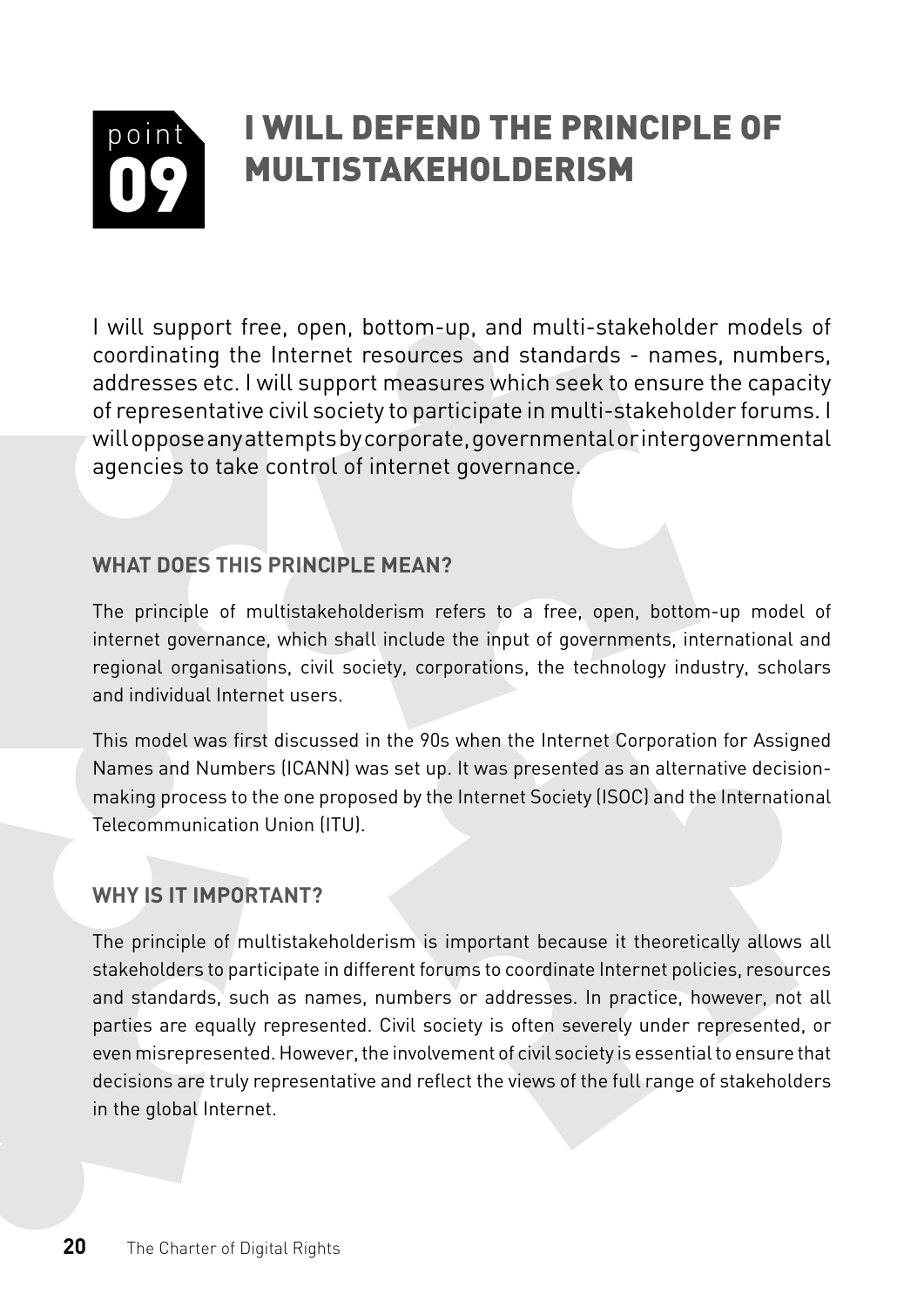#### <span id="page-21-0"></span>point 09 I will defend the principle of multistakeholderism

I will support free, open, bottom-up, and multi-stakeholder models of coordinating the Internet resources and standards - names, numbers, addresses etc. I will support measures which seek to ensure the capacity of representative civil society to participate in multi-stakeholder forums. I will oppose any attempts by corporate, governmental or intergovernmental agencies to take control of internet governance.

#### **What does this PRINCIPLE mean?**

The principle of multistakeholderism refers to a free, open, bottom-up model of internet governance, which shall include the input of governments, international and regional organisations, civil society, corporations, the technology industry, scholars and individual Internet users.

This model was first discussed in the 90s when the Internet Corporation for Assigned Names and Numbers (ICANN) was set up. It was presented as an alternative decisionmaking process to the one proposed by the Internet Society (ISOC) and the International Telecommunication Union (ITU).

#### **Why is it important?**

The principle of multistakeholderism is important because it theoretically allows all stakeholders to participate in different forums to coordinate Internet policies, resources and standards, such as names, numbers or addresses. In practice, however, not all parties are equally represented. Civil society is often severely under represented, or even misrepresented. However, the involvement of civil society is essential to ensure that decisions are truly representative and reflect the views of the full range of stakeholders in the global Internet.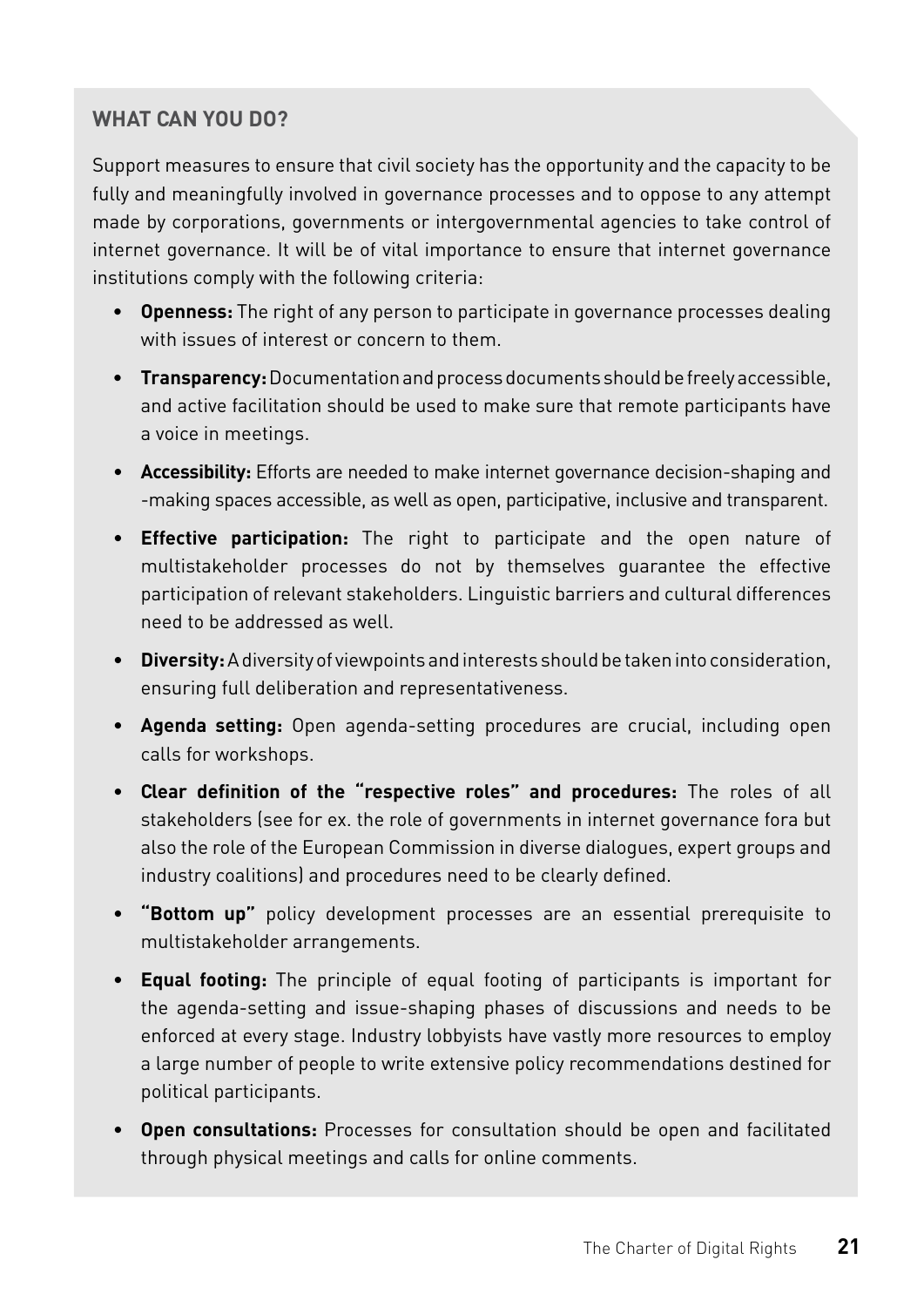Support measures to ensure that civil society has the opportunity and the capacity to be fully and meaningfully involved in governance processes and to oppose to any attempt made by corporations, governments or intergovernmental agencies to take control of internet governance. It will be of vital importance to ensure that internet governance institutions comply with the following criteria:

- **Openness:** The right of any person to participate in governance processes dealing with issues of interest or concern to them.
- **Transparency:** Documentation and process documents should be freely accessible, and active facilitation should be used to make sure that remote participants have a voice in meetings.
- **Accessibility:** Efforts are needed to make internet governance decision-shaping and -making spaces accessible, as well as open, participative, inclusive and transparent.
- **Effective participation:** The right to participate and the open nature of multistakeholder processes do not by themselves guarantee the effective participation of relevant stakeholders. Linguistic barriers and cultural differences need to be addressed as well.
- **Diversity:** A diversity of viewpoints and interests should be taken into consideration, ensuring full deliberation and representativeness.
- **Agenda setting:** Open agenda-setting procedures are crucial, including open calls for workshops.
- **Clear definition of the "respective roles" and procedures:** The roles of all stakeholders (see for ex. the role of governments in internet governance fora but also the role of the European Commission in diverse dialogues, expert groups and industry coalitions) and procedures need to be clearly defined.
- **"Bottom up"** policy development processes are an essential prerequisite to multistakeholder arrangements.
- **Equal footing:** The principle of equal footing of participants is important for the agenda-setting and issue-shaping phases of discussions and needs to be enforced at every stage. Industry lobbyists have vastly more resources to employ a large number of people to write extensive policy recommendations destined for political participants.
- **Open consultations:** Processes for consultation should be open and facilitated through physical meetings and calls for online comments.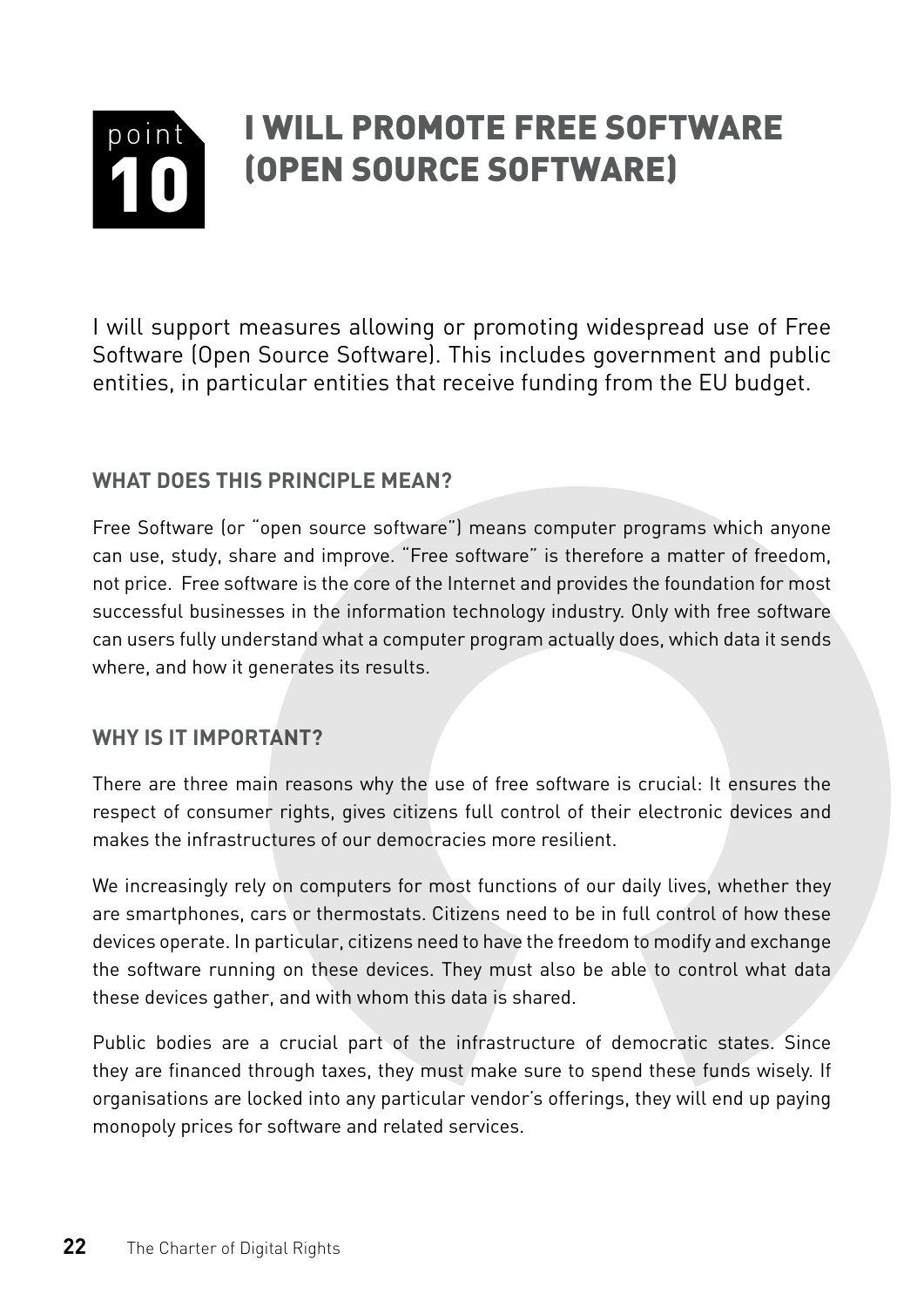#### <span id="page-23-0"></span>point 10 I will promote Free software (Open source software)

I will support measures allowing or promoting widespread use of Free Software (Open Source Software). This includes government and public entities, in particular entities that receive funding from the EU budget.

#### **What does this PRINCIPLE mean?**

Free Software (or "open source software") means computer programs which anyone can use, study, share and improve. "Free software" is therefore a matter of freedom, not price. Free software is the core of the Internet and provides the foundation for most successful businesses in the information technology industry. Only with free software can users fully understand what a computer program actually does, which data it sends where, and how it generates its results.

#### **Why is it important?**

There are three main reasons why the use of free software is crucial: It ensures the respect of consumer rights, gives citizens full control of their electronic devices and makes the infrastructures of our democracies more resilient.

We increasingly rely on computers for most functions of our daily lives, whether they are smartphones, cars or thermostats. Citizens need to be in full control of how these devices operate. In particular, citizens need to have the freedom to modify and exchange the software running on these devices. They must also be able to control what data these devices gather, and with whom this data is shared.

Public bodies are a crucial part of the infrastructure of democratic states. Since they are financed through taxes, they must make sure to spend these funds wisely. If organisations are locked into any particular vendor's offerings, they will end up paying monopoly prices for software and related services.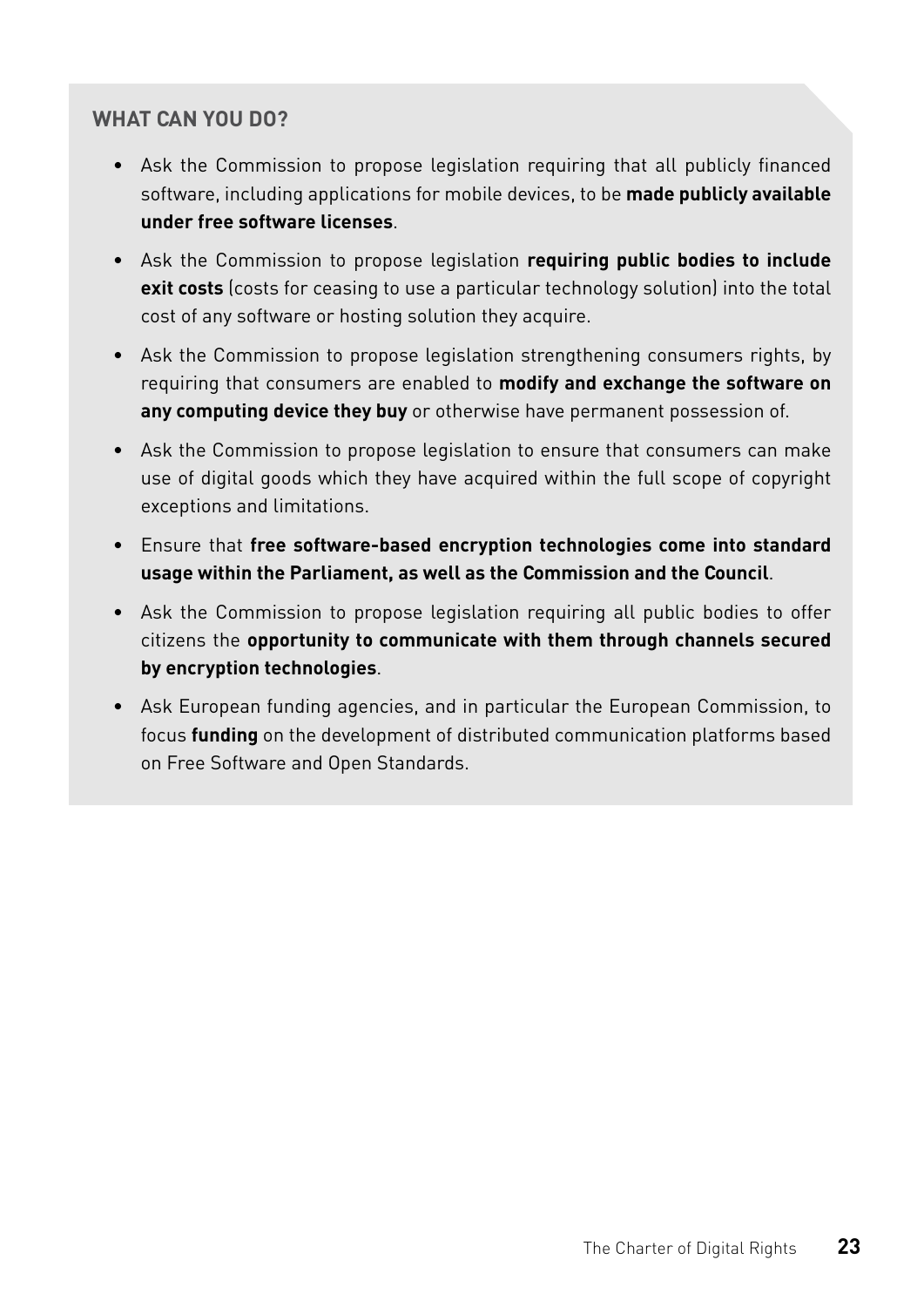- Ask the Commission to propose legislation requiring that all publicly financed software, including applications for mobile devices, to be **made publicly available under free software licenses**.
- Ask the Commission to propose legislation **requiring public bodies to include exit costs** (costs for ceasing to use a particular technology solution) into the total cost of any software or hosting solution they acquire.
- Ask the Commission to propose legislation strengthening consumers rights, by requiring that consumers are enabled to **modify and exchange the software on any computing device they buy** or otherwise have permanent possession of.
- Ask the Commission to propose legislation to ensure that consumers can make use of digital goods which they have acquired within the full scope of copyright exceptions and limitations.
- Ensure that **free software-based encryption technologies come into standard usage within the Parliament, as well as the Commission and the Council**.
- Ask the Commission to propose legislation requiring all public bodies to offer citizens the **opportunity to communicate with them through channels secured by encryption technologies**.
- Ask European funding agencies, and in particular the European Commission, to focus **funding** on the development of distributed communication platforms based on Free Software and Open Standards.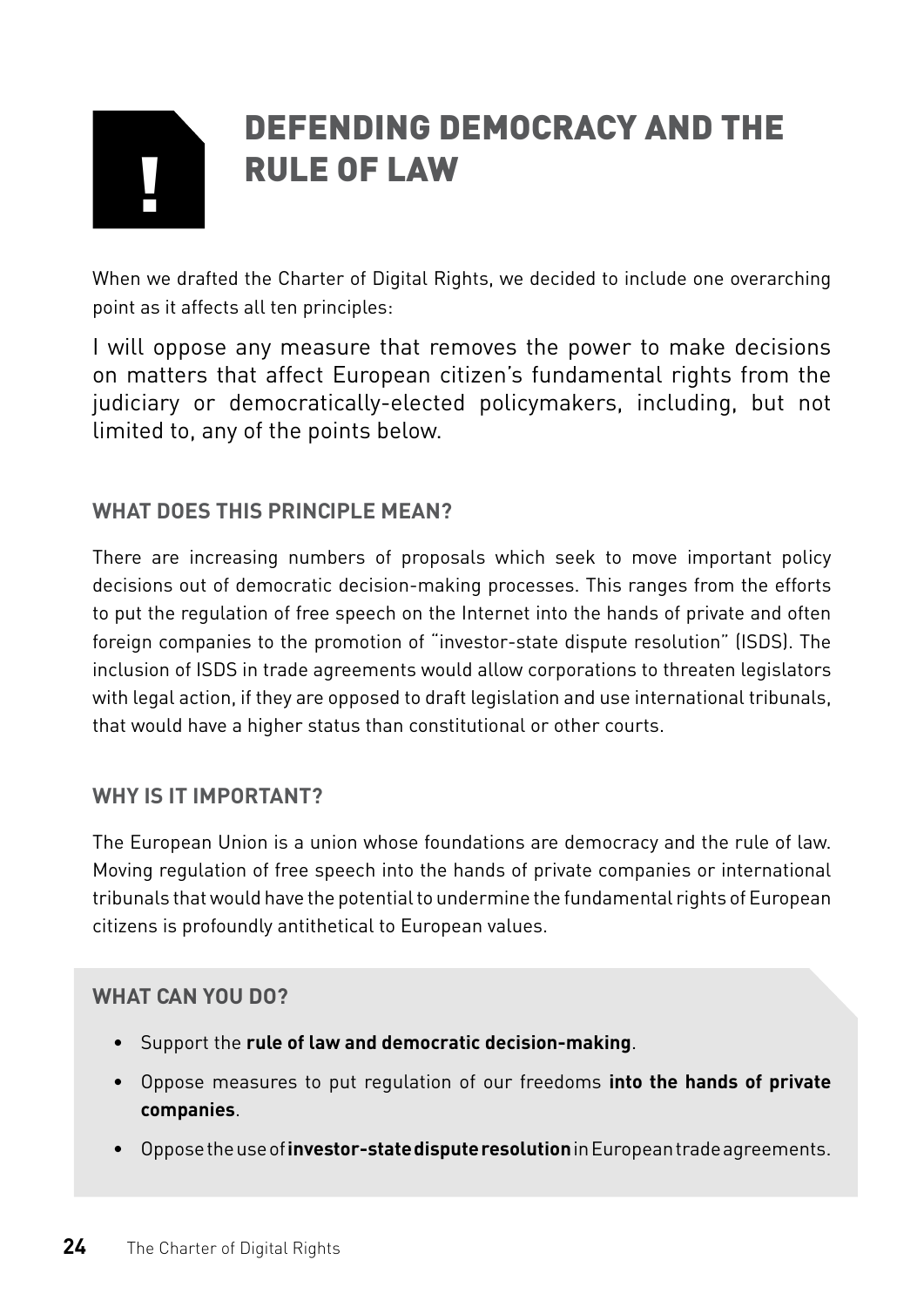# <span id="page-25-0"></span>|<br>|<br>|

## Defending democracy and the rule of law

When we drafted the Charter of Digital Rights, we decided to include one overarching point as it affects all ten principles:

I will oppose any measure that removes the power to make decisions on matters that affect European citizen's fundamental rights from the judiciary or democratically-elected policymakers, including, but not limited to, any of the points below.

#### **What does this pRINCIPLE mean?**

There are increasing numbers of proposals which seek to move important policy decisions out of democratic decision-making processes. This ranges from the efforts to put the regulation of free speech on the Internet into the hands of private and often foreign companies to the promotion of "investor-state dispute resolution" (ISDS). The inclusion of ISDS in trade agreements would allow corporations to threaten legislators with legal action, if they are opposed to draft legislation and use international tribunals, that would have a higher status than constitutional or other courts.

#### **Why is it important?**

The European Union is a union whose foundations are democracy and the rule of law. Moving regulation of free speech into the hands of private companies or international tribunals that would have the potential to undermine the fundamental rights of European citizens is profoundly antithetical to European values.

- Support the **rule of law and democratic decision-making**.
- Oppose measures to put regulation of our freedoms **into the hands of private companies**.
- Oppose the use of **investor-state dispute resolution** in European trade agreements.